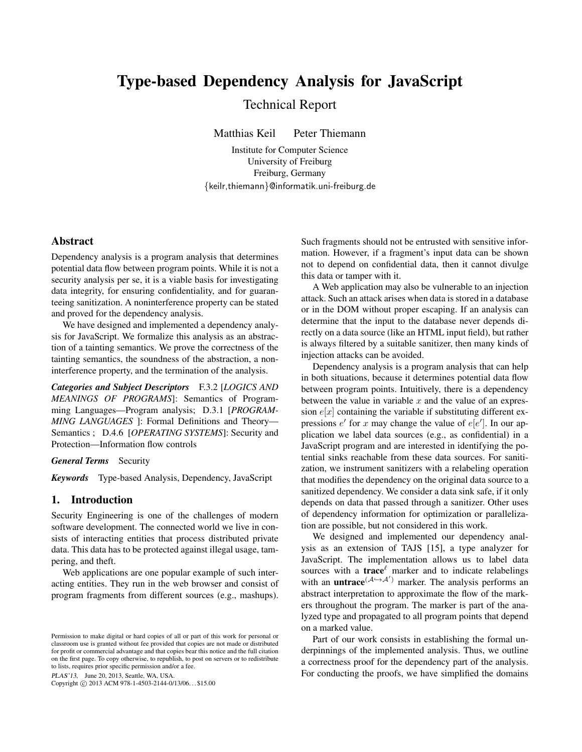# Type-based Dependency Analysis for JavaScript

Technical Report

Matthias Keil Peter Thiemann

Institute for Computer Science University of Freiburg Freiburg, Germany {keilr,thiemann}@informatik.uni-freiburg.de

# Abstract

Dependency analysis is a program analysis that determines potential data flow between program points. While it is not a security analysis per se, it is a viable basis for investigating data integrity, for ensuring confidentiality, and for guaranteeing sanitization. A noninterference property can be stated and proved for the dependency analysis.

We have designed and implemented a dependency analysis for JavaScript. We formalize this analysis as an abstraction of a tainting semantics. We prove the correctness of the tainting semantics, the soundness of the abstraction, a noninterference property, and the termination of the analysis.

*Categories and Subject Descriptors* F.3.2 [*LOGICS AND MEANINGS OF PROGRAMS*]: Semantics of Programming Languages—Program analysis; D.3.1 [*PROGRAM-MING LANGUAGES* ]: Formal Definitions and Theory— Semantics ; D.4.6 [*OPERATING SYSTEMS*]: Security and Protection—Information flow controls

## *General Terms* Security

*Keywords* Type-based Analysis, Dependency, JavaScript

# 1. Introduction

Security Engineering is one of the challenges of modern software development. The connected world we live in consists of interacting entities that process distributed private data. This data has to be protected against illegal usage, tampering, and theft.

Web applications are one popular example of such interacting entities. They run in the web browser and consist of program fragments from different sources (e.g., mashups).

PLAS'13, June 20, 2013, Seattle, WA, USA.

Copyright © 2013 ACM 978-1-4503-2144-0/13/06... \$15.00

Such fragments should not be entrusted with sensitive information. However, if a fragment's input data can be shown not to depend on confidential data, then it cannot divulge this data or tamper with it.

A Web application may also be vulnerable to an injection attack. Such an attack arises when data is stored in a database or in the DOM without proper escaping. If an analysis can determine that the input to the database never depends directly on a data source (like an HTML input field), but rather is always filtered by a suitable sanitizer, then many kinds of injection attacks can be avoided.

Dependency analysis is a program analysis that can help in both situations, because it determines potential data flow between program points. Intuitively, there is a dependency between the value in variable  $x$  and the value of an expression  $e[x]$  containing the variable if substituting different expressions  $e'$  for x may change the value of  $e[e']$ . In our application we label data sources (e.g., as confidential) in a JavaScript program and are interested in identifying the potential sinks reachable from these data sources. For sanitization, we instrument sanitizers with a relabeling operation that modifies the dependency on the original data source to a sanitized dependency. We consider a data sink safe, if it only depends on data that passed through a sanitizer. Other uses of dependency information for optimization or parallelization are possible, but not considered in this work.

We designed and implemented our dependency analysis as an extension of TAJS [15], a type analyzer for JavaScript. The implementation allows us to label data sources with a **trace** marker and to indicate relabelings with an **untrace**  $(A \rightarrow A')$  marker. The analysis performs an abstract interpretation to approximate the flow of the markers throughout the program. The marker is part of the analyzed type and propagated to all program points that depend on a marked value.

Part of our work consists in establishing the formal underpinnings of the implemented analysis. Thus, we outline a correctness proof for the dependency part of the analysis. For conducting the proofs, we have simplified the domains

Permission to make digital or hard copies of all or part of this work for personal or classroom use is granted without fee provided that copies are not made or distributed for profit or commercial advantage and that copies bear this notice and the full citation on the first page. To copy otherwise, to republish, to post on servers or to redistribute to lists, requires prior specific permission and/or a fee.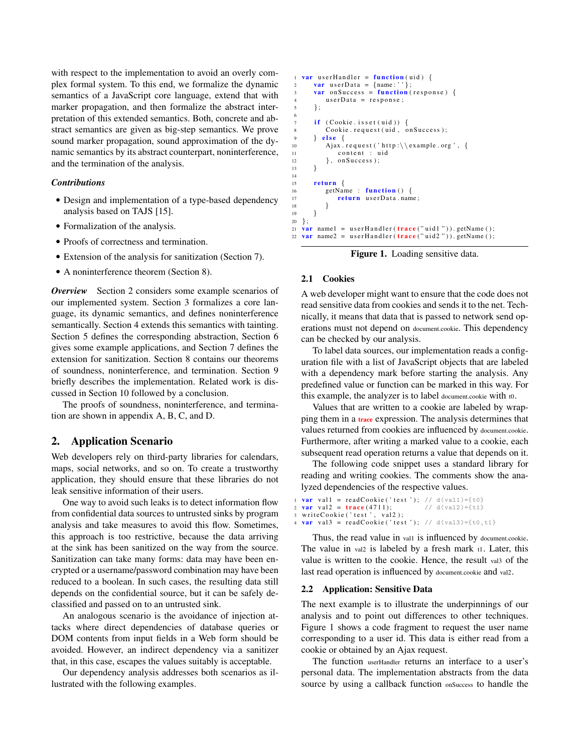with respect to the implementation to avoid an overly complex formal system. To this end, we formalize the dynamic semantics of a JavaScript core language, extend that with marker propagation, and then formalize the abstract interpretation of this extended semantics. Both, concrete and abstract semantics are given as big-step semantics. We prove sound marker propagation, sound approximation of the dynamic semantics by its abstract counterpart, noninterference, and the termination of the analysis.

### *Contributions*

- Design and implementation of a type-based dependency analysis based on TAJS [15].
- Formalization of the analysis.
- Proofs of correctness and termination.
- Extension of the analysis for sanitization (Section 7).
- A noninterference theorem (Section 8).

*Overview* Section 2 considers some example scenarios of our implemented system. Section 3 formalizes a core language, its dynamic semantics, and defines noninterference semantically. Section 4 extends this semantics with tainting. Section 5 defines the corresponding abstraction, Section 6 gives some example applications, and Section 7 defines the extension for sanitization. Section 8 contains our theorems of soundness, noninterference, and termination. Section 9 briefly describes the implementation. Related work is discussed in Section 10 followed by a conclusion.

The proofs of soundness, noninterference, and termination are shown in appendix A, B, C, and D.

# 2. Application Scenario

Web developers rely on third-party libraries for calendars, maps, social networks, and so on. To create a trustworthy application, they should ensure that these libraries do not leak sensitive information of their users.

One way to avoid such leaks is to detect information flow from confidential data sources to untrusted sinks by program analysis and take measures to avoid this flow. Sometimes, this approach is too restrictive, because the data arriving at the sink has been sanitized on the way from the source. Sanitization can take many forms: data may have been encrypted or a username/password combination may have been reduced to a boolean. In such cases, the resulting data still depends on the confidential source, but it can be safely declassified and passed on to an untrusted sink.

An analogous scenario is the avoidance of injection attacks where direct dependencies of database queries or DOM contents from input fields in a Web form should be avoided. However, an indirect dependency via a sanitizer that, in this case, escapes the values suitably is acceptable.

Our dependency analysis addresses both scenarios as illustrated with the following examples.

```
var userHandler = function (uid) {
         var userData = {name:'' };
         var on Success = function (response) {
              userData = response;\}:
 6
         if (Cookie.isset (uid))Cookie . r e que st ( uid , on Success );
9 } else {<br>10 \overrightarrow{Also}10 Ajax . r e que st (' http:\\e xample . org ', {<br>11 content : uid
11 content : uid<br>
\begin{array}{ccc} 11 & \text{constant} : \text{uid} \\ 12 & \text{lambda} : \text{on} \text{Success} ) : \end{array}\}, on Success);
13 }
\frac{14}{15}return \{16 getName : function() {<br>17 return userData nam
              \begin{bmatrix} \text{return} \\ \text{1} \end{bmatrix} user Data . name;
18 }
\begin{array}{c} 19 \\ 20 \end{array} }:
   \};
21 var namel = userHandler (trace("uid 1"))). getName ();
22 var name2 = userHandler (trace ("uid2")). getName ();
```
Figure 1. Loading sensitive data.

#### 2.1 Cookies

A web developer might want to ensure that the code does not read sensitive data from cookies and sends it to the net. Technically, it means that data that is passed to network send operations must not depend on document.cookie. This dependency can be checked by our analysis.

To label data sources, our implementation reads a configuration file with a list of JavaScript objects that are labeled with a dependency mark before starting the analysis. Any predefined value or function can be marked in this way. For this example, the analyzer is to label document.cookie with t0.

Values that are written to a cookie are labeled by wrapping them in a trace expression. The analysis determines that values returned from cookies are influenced by document.cookie. Furthermore, after writing a marked value to a cookie, each subsequent read operation returns a value that depends on it.

The following code snippet uses a standard library for reading and writing cookies. The comments show the analyzed dependencies of the respective values.

```
var vall = readCookie ('test'): // d(vall)=\{t0\}2 var val2 = <mark>trace</mark>(4711); // d(val2)={t1}<br>3 writeCookie('test', val2);
4 var val3 = readCookie('test'); // d(va13)= { to, t1 }
```
Thus, the read value in val1 is influenced by document.cookie. The value in value is labeled by a fresh mark t1. Later, this value is written to the cookie. Hence, the result val3 of the last read operation is influenced by document.cookie and val2.

## 2.2 Application: Sensitive Data

The next example is to illustrate the underpinnings of our analysis and to point out differences to other techniques. Figure 1 shows a code fragment to request the user name corresponding to a user id. This data is either read from a cookie or obtained by an Ajax request.

The function userHandler returns an interface to a user's personal data. The implementation abstracts from the data source by using a callback function onSuccess to handle the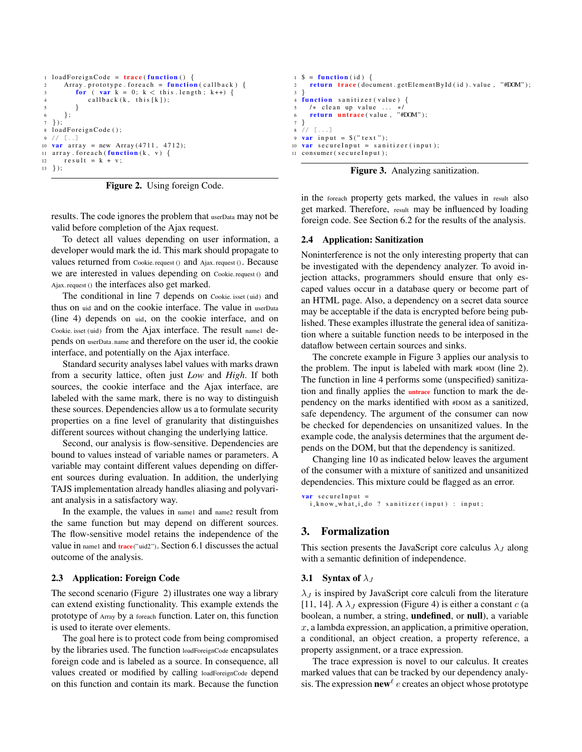```
1 loadForeignCode = trace(function() \{Array. prototype. foreach = function ( callback)for ( var k = 0; k < this length; k++) {
             cal 1 back (k, this[k]);
 5 }
      6 };
   \} ) ;
  loadForeignCode();
9 // [..]<br>10 var arı
  var array = new Array (4711, 4712);
11 array. for each (function (k, v) {<br>
12 result = k + v:
      r e sult = k + v:
13 } ) ;
```
Figure 2. Using foreign Code.

results. The code ignores the problem that userData may not be valid before completion of the Ajax request.

To detect all values depending on user information, a developer would mark the id. This mark should propagate to values returned from Cookie. request () and Ajax. request (). Because we are interested in values depending on Cookie. request () and Ajax. request () the interfaces also get marked.

The conditional in line 7 depends on Cookie, isset (uid) and thus on uid and on the cookie interface. The value in userData (line 4) depends on uid, on the cookie interface, and on Cookie. isset (uid) from the Ajax interface. The result name1 depends on userData. name and therefore on the user id, the cookie interface, and potentially on the Ajax interface.

Standard security analyses label values with marks drawn from a security lattice, often just *Low* and *High*. If both sources, the cookie interface and the Ajax interface, are labeled with the same mark, there is no way to distinguish these sources. Dependencies allow us a to formulate security properties on a fine level of granularity that distinguishes different sources without changing the underlying lattice.

Second, our analysis is flow-sensitive. Dependencies are bound to values instead of variable names or parameters. A variable may containt different values depending on different sources during evaluation. In addition, the underlying TAJS implementation already handles aliasing and polyvariant analysis in a satisfactory way.

In the example, the values in name1 and name2 result from the same function but may depend on different sources. The flow-sensitive model retains the independence of the value in name1 and trace("uid2"). Section 6.1 discusses the actual outcome of the analysis.

### 2.3 Application: Foreign Code

The second scenario (Figure 2) illustrates one way a library can extend existing functionality. This example extends the prototype of Array by a foreach function. Later on, this function is used to iterate over elements.

The goal here is to protect code from being compromised by the libraries used. The function loadForeignCode encapsulates foreign code and is labeled as a source. In consequence, all values created or modified by calling loadForeignCode depend on this function and contain its mark. Because the function

```
1 \text{ } $ = \text{function} \text{ (id)} \text{ }2 return trace (document.getElementById (id).value, "#DOM");
 3 }
4 function sanitizer (value) {
     /* clean up value ... */
     return untrace (value, "#DOM");
7 }
8 //<br>9 var
  var in put = $(" text");10 var secureInput = sanitizer (input);
11 consumer (secureInput);
```


in the foreach property gets marked, the values in result also get marked. Therefore, result may be influenced by loading foreign code. See Section 6.2 for the results of the analysis.

# 2.4 Application: Sanitization

Noninterference is not the only interesting property that can be investigated with the dependency analyzer. To avoid injection attacks, programmers should ensure that only escaped values occur in a database query or become part of an HTML page. Also, a dependency on a secret data source may be acceptable if the data is encrypted before being published. These examples illustrate the general idea of sanitization where a suitable function needs to be interposed in the dataflow between certain sources and sinks.

The concrete example in Figure 3 applies our analysis to the problem. The input is labeled with mark #DOM (line 2). The function in line 4 performs some (unspecified) sanitization and finally applies the untrace function to mark the dependency on the marks identified with #DOM as a sanitized, safe dependency. The argument of the consumer can now be checked for dependencies on unsanitized values. In the example code, the analysis determines that the argument depends on the DOM, but that the dependency is sanitized.

Changing line 10 as indicated below leaves the argument of the consumer with a mixture of sanitized and unsanitized dependencies. This mixture could be flagged as an error.

```
var secure Input =
  i_know_what_i_do ? sanitizer (input) : input;
```
# 3. Formalization

This section presents the JavaScript core calculus  $\lambda_J$  along with a semantic definition of independence.

## 3.1 Syntax of  $\lambda_J$

 $\lambda_J$  is inspired by JavaScript core calculi from the literature [11, 14]. A  $\lambda_J$  expression (Figure 4) is either a constant c (a boolean, a number, a string, undefined, or null), a variable  $x$ , a lambda expression, an application, a primitive operation, a conditional, an object creation, a property reference, a property assignment, or a trace expression.

The trace expression is novel to our calculus. It creates marked values that can be tracked by our dependency analysis. The expression  $\mathbf{new}^{\ell}$  e creates an object whose prototype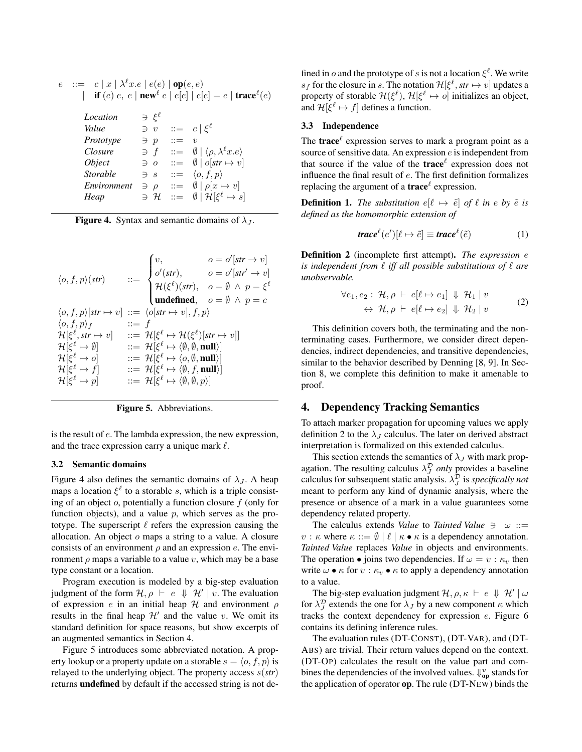$$
e ::= c | x | \lambda^{\ell} x.e | e(e) | \mathbf{op}(e, e)
$$
  
\n
$$
| \mathbf{if} (e) e, e | \mathbf{new}^{\ell} e | e[e] | e[e] = e | \mathbf{trace}^{\ell} (e)
$$
  
\n
$$
Location \quad \ni \xi^{\ell}
$$
  
\n
$$
Value \quad \ni v ::= c | \xi^{\ell}
$$
  
\n
$$
Prototype \quad \ni p ::= v
$$
  
\n
$$
Closure \quad \ni f ::= \emptyset | \langle \rho, \lambda^{\ell} x.e \rangle
$$
  
\n
$$
Object \quad \ni o ::= \emptyset | o[str \mapsto v]
$$
  
\n
$$
Storable \quad \ni s ::= \langle o, f, p \rangle
$$
  
\n
$$
Environment \quad \ni \rho ::= \emptyset | p[x \mapsto v]
$$
  
\n
$$
Heap \quad \ni \mathcal{H} ::= \emptyset | \mathcal{H}[\xi^{\ell} \mapsto s]
$$

**Figure 4.** Syntax and semantic domains of  $\lambda_{\text{J}}$ .

$$
\langle o, f, p \rangle (str) \qquad ::= \begin{cases} v, & o = o'[str \to v] \\ o'(str), & o = o'[str' \to v] \\ \mathcal{H}(\xi^{\ell})(str), & o = \emptyset \land p = \xi^{\ell} \\ \textbf{undefined}, & o = \emptyset \land p = c \end{cases}
$$

$$
\langle o, f, p \rangle [str \mapsto v] \qquad ::= \langle o[str \mapsto v], f, p \rangle
$$

$$
\langle o, f, p \rangle f \qquad ::= f
$$

$$
\mathcal{H}[\xi^{\ell}, str \mapsto v] \qquad ::= \mathcal{H}[\xi^{\ell} \mapsto \mathcal{H}(\xi^{\ell})[str \mapsto v]]
$$

$$
\mathcal{H}[\xi^{\ell} \mapsto \emptyset] \qquad ::= \mathcal{H}[\xi^{\ell} \mapsto \langle \emptyset, \emptyset, \mathbf{null} \rangle]
$$

$$
\mathcal{H}[\xi^{\ell} \mapsto f] \qquad ::= \mathcal{H}[\xi^{\ell} \mapsto \langle \emptyset, \emptyset, \mathbf{null} \rangle]
$$

$$
\mathcal{H}[\xi^{\ell} \mapsto f] \qquad ::= \mathcal{H}[\xi^{\ell} \mapsto \langle \emptyset, \emptyset, \mathbf{null} \rangle]
$$



is the result of e. The lambda expression, the new expression, and the trace expression carry a unique mark  $\ell$ .

#### 3.2 Semantic domains

Figure 4 also defines the semantic domains of  $\lambda_J$ . A heap maps a location  $\xi^{\ell}$  to a storable s, which is a triple consisting of an object  $o$ , potentially a function closure  $f$  (only for function objects), and a value  $p$ , which serves as the prototype. The superscript  $\ell$  refers the expression causing the allocation. An object o maps a string to a value. A closure consists of an environment  $\rho$  and an expression  $e$ . The environment  $\rho$  maps a variable to a value v, which may be a base type constant or a location.

Program execution is modeled by a big-step evaluation judgment of the form  $\mathcal{H}, \rho \vdash e \Downarrow \mathcal{H}' \mid v$ . The evaluation of expression e in an initial heap  $H$  and environment  $\rho$ results in the final heap  $\mathcal{H}'$  and the value v. We omit its standard definition for space reasons, but show excerpts of an augmented semantics in Section 4.

Figure 5 introduces some abbreviated notation. A property lookup or a property update on a storable  $s = \langle o, f, p \rangle$  is relayed to the underlying object. The property access s(*str*) returns undefined by default if the accessed string is not defined in o and the prototype of s is not a location  $\xi^{\ell}$ . We write  $s_f$  for the closure in s. The notation  $\mathcal{H}[\xi^{\ell}, str \mapsto v]$  updates a property of storable  $\mathcal{H}(\xi^{\ell}), \mathcal{H}[\xi^{\ell} \mapsto o]$  initializes an object, and  $\mathcal{H}[\xi^{\ell} \mapsto f]$  defines a function.

# 3.3 Independence

The **trace** expression serves to mark a program point as a source of sensitive data. An expression  $e$  is independent from that source if the value of the **trace** expression does not influence the final result of e. The first definition formalizes replacing the argument of a **trace** expression.

**Definition 1.** *The substitution*  $e[\ell \mapsto \tilde{e}]$  *of*  $\ell$  *in*  $e$  *by*  $\tilde{e}$  *is defined as the homomorphic extension of*

$$
trace^{\ell}(e')[\ell \mapsto \tilde{e}] \equiv trace^{\ell}(\tilde{e}) \tag{1}
$$

Definition 2 (incomplete first attempt). *The expression* e *is independent from* ℓ *iff all possible substitutions of* ℓ *are unobservable.*

$$
\forall e_1, e_2: \mathcal{H}, \rho \vdash e[\ell \mapsto e_1] \Downarrow \mathcal{H}_1 \mid v
$$
  

$$
\leftrightarrow \mathcal{H}, \rho \vdash e[\ell \mapsto e_2] \Downarrow \mathcal{H}_2 \mid v
$$
 (2)

This definition covers both, the terminating and the nonterminating cases. Furthermore, we consider direct dependencies, indirect dependencies, and transitive dependencies, similar to the behavior described by Denning [8, 9]. In Section 8, we complete this definition to make it amenable to proof.

# 4. Dependency Tracking Semantics

To attach marker propagation for upcoming values we apply definition 2 to the  $\lambda_j$  calculus. The later on derived abstract interpretation is formalized on this extended calculus.

This section extends the semantics of  $\lambda_J$  with mark propagation. The resulting calculus  $\lambda_J^{\mathcal{D}}$  *only* provides a baseline calculus for subsequent static analysis.  $\lambda_J^{\mathcal{D}}$  is *specifically not* meant to perform any kind of dynamic analysis, where the presence or absence of a mark in a value guarantees some dependency related property.

The calculus extends *Value* to *Tainted Value*  $\Rightarrow \omega ::=$  $v : \kappa$  where  $\kappa ::= \emptyset | \ell | \kappa \bullet \kappa$  is a dependency annotation. *Tainted Value* replaces *Value* in objects and environments. The operation  $\bullet$  joins two dependencies. If  $\omega = v : \kappa_v$  then write  $\omega \bullet \kappa$  for  $v : \kappa_v \bullet \kappa$  to apply a dependency annotation to a value.

The big-step evaluation judgment  $\mathcal{H}, \rho, \kappa \vdash e \Downarrow \mathcal{H}' \mid \omega$ for  $\lambda_J^{\mathcal{D}}$  extends the one for  $\lambda_J$  by a new component  $\kappa$  which tracks the context dependency for expression  $e$ . Figure 6 contains its defining inference rules.

The evaluation rules (DT-CONST), (DT-VAR), and (DT-ABS) are trivial. Their return values depend on the context. (DT-OP) calculates the result on the value part and combines the dependencies of the involved values.  $\psi_{op}^v$  stands for the application of operator op. The rule (DT-NEW) binds the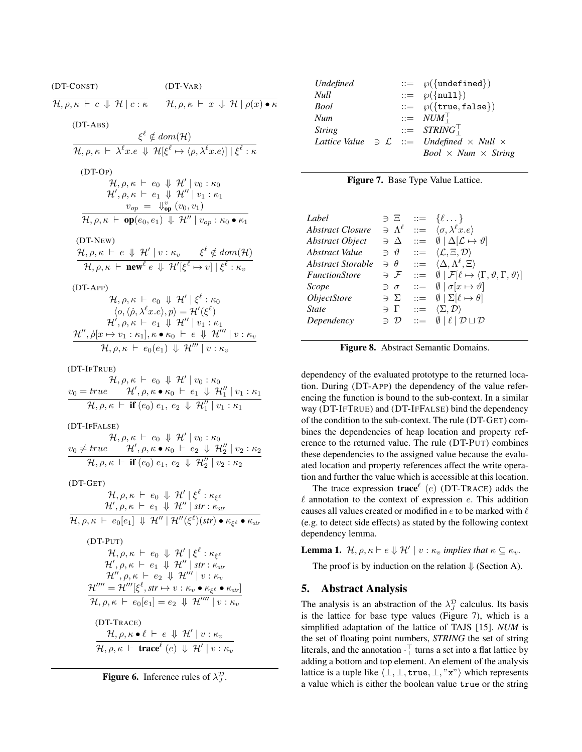| (DT-CONST)        | $(DT-VAR)$                                                                                                                                                                                                                                                                                                                                                                                                                                                                                                                                                           |
|-------------------|----------------------------------------------------------------------------------------------------------------------------------------------------------------------------------------------------------------------------------------------------------------------------------------------------------------------------------------------------------------------------------------------------------------------------------------------------------------------------------------------------------------------------------------------------------------------|
|                   | $\mathcal{H}, \rho, \kappa \vdash c \Downarrow \mathcal{H} \mid c : \kappa$ $\mathcal{H}, \rho, \kappa \vdash x \Downarrow \mathcal{H} \mid \rho(x) \bullet \kappa$                                                                                                                                                                                                                                                                                                                                                                                                  |
| $(DT-ABS)$        | $\xi^{\ell} \notin dom(\mathcal{H})$                                                                                                                                                                                                                                                                                                                                                                                                                                                                                                                                 |
|                   | $\overline{\mathcal{H}, \rho, \kappa \vdash \lambda^{\ell} x.e \Downarrow \mathcal{H}[\xi^{\ell} \mapsto \langle \rho, \lambda^{\ell} x.e \rangle]   \xi^{\ell} : \kappa}$                                                                                                                                                                                                                                                                                                                                                                                           |
| $(DT-OP)$         |                                                                                                                                                                                                                                                                                                                                                                                                                                                                                                                                                                      |
|                   | $\mathcal{H}, \rho, \kappa \vdash e_0 \Downarrow \mathcal{H}'   v_0 : \kappa_0$<br>$\mathcal{H}',\rho,\kappa \;\vdash\; e_1 \;\Downarrow\; \mathcal{H}'' \;\vert\; v_1 : \kappa_1$<br>$v_{op} = \Downarrow_{op}^{v} (v_0, v_1)$                                                                                                                                                                                                                                                                                                                                      |
|                   | $\mathcal{H}, \rho, \kappa \vdash \mathbf{op}(e_0, e_1) \Downarrow \mathcal{H}''   v_{op} : \kappa_0 \bullet \kappa_1$                                                                                                                                                                                                                                                                                                                                                                                                                                               |
| $(DT\text{-}NEW)$ | $\frac{\mathcal{H}, \rho, \kappa \ \vdash \ e \ \Downarrow \ \mathcal{H}' \mid v : \kappa_v \qquad \xi^{\ell} \notin dom(\mathcal{H})}{\mathcal{H}, \rho, \kappa \ \vdash \ \mathbf{new}^{\ell} \ e \ \Downarrow \ \mathcal{H}'[\xi^{\ell} \mapsto v] \mid \xi^{\ell} : \kappa_v}$                                                                                                                                                                                                                                                                                   |
| $(DT-APP)$        |                                                                                                                                                                                                                                                                                                                                                                                                                                                                                                                                                                      |
|                   | $\mathcal{H}, \rho, \kappa \vdash e_0 \Downarrow \mathcal{H}' \mid \xi^{\ell} : \kappa_0$<br>$\langle o, \langle \dot{\rho}, \lambda^{\ell} x . e \rangle, p \rangle = \mathcal{H}'(\xi^{\ell})$<br>$\mathcal{H}', \rho, \kappa \vdash e_1 \Downarrow \mathcal{H}'' \mid v_1 : \kappa_1$<br>$\mathcal{H}'', \dot{\rho}[x \mapsto v_1 : \kappa_1], \kappa \bullet \kappa_0 \vdash e \Downarrow \mathcal{H}''' \mid v : \kappa_v$<br>$\mathcal{H}, \rho, \kappa \vdash e_0(e_1) \Downarrow \mathcal{H}''' \mid v : \kappa_v$                                           |
| (DT-IFTRUE)       | $\mathcal{H}, \rho, \kappa \vdash e_0 \Downarrow \mathcal{H}' \mid v_0 : \kappa_0$<br>$v_0 = true$ $\mathcal{H}', \rho, \kappa \bullet \kappa_0 \vdash e_1 \Downarrow \mathcal{H}'_1   v_1 : \kappa_1$<br>$\mathcal{H}, \rho, \kappa \vdash \mathbf{if} (e_0) e_1, e_2 \Downarrow \mathcal{H}_1''   v_1 : \kappa_1$                                                                                                                                                                                                                                                  |
| (DT-IFFALSE)      | $\mathcal{H}, \rho, \kappa \vdash e_0 \Downarrow \mathcal{H}' \mid v_0 : \kappa_0$<br>$v_0 \neq true$ $\mathcal{H}', \rho, \kappa \bullet \kappa_0 \vdash e_2 \Downarrow \mathcal{H}''_2 \mid v_2 : \kappa_2$<br>$\mathcal{H}, \rho, \kappa \vdash \mathbf{if} (e_0) e_1, e_2 \Downarrow \mathcal{H}''_2   v_2 : \kappa_2$                                                                                                                                                                                                                                           |
| $(DT-GET)$        |                                                                                                                                                                                                                                                                                                                                                                                                                                                                                                                                                                      |
|                   | $\mathcal{H}, \rho, \kappa \vdash e_0 \Downarrow \mathcal{H}' \mid \xi^{\ell} : \kappa_{\xi^{\ell}}$<br>$\mathcal{H}', \rho, \kappa \ \vdash \ e_1 \ \Downarrow \ \mathcal{H}'' \   \ str: \kappa_{str}$                                                                                                                                                                                                                                                                                                                                                             |
|                   | $\overline{\mathcal{H},\rho,\kappa \ \vdash \ e_0[e_1] \ \Downarrow \ \mathcal{H}'' \   \ \mathcal{H}''(\xi^\ell)(str) \bullet \kappa_{\xi^\ell} \bullet \kappa_{str}}$                                                                                                                                                                                                                                                                                                                                                                                              |
| $(DT-PUT)$        | $\mathcal{H}, \rho, \kappa \;\vdash\; e_0 \;\Downarrow\; \mathcal{H}' \; \; \xi^\ell : \kappa_{\xi^\ell} \ \mathcal{H}', \rho, \kappa \;\vdash\; e_1 \;\Downarrow\; \mathcal{H}'' \; \; str : \kappa_{str}$<br>$\mathcal{H}^{\prime\prime},\rho,\kappa \;\vdash\; e_2\; \Downarrow \;\mathcal{H}^{\prime\prime\prime}\; \; v:\kappa_v$<br>$\mathcal{H}'''' = \mathcal{H}'''[\xi^{\ell}, str \mapsto v : \kappa_v \bullet \kappa_{\xi^{\ell}} \bullet \kappa_{str}]$<br>$\mathcal{H}, \rho, \kappa \vdash e_0[e_1] = e_2 \Downarrow \mathcal{H}''' \mid v : \kappa_v$ |
| (DT-TRACE)        | $\mathcal{H}, \rho, \kappa \bullet \ell \;\vdash\; e \;\Downarrow\; \mathcal{H}' \;\vert\; v : \kappa_v$<br>$\overline{\mathcal{H}, \rho, \kappa$ <b>+ trace</b> (e) $\overline{\psi}$ H' $\overline{v : \kappa_v}$                                                                                                                                                                                                                                                                                                                                                  |
|                   | <b>Figure 6.</b> Inference rules of $\lambda_J^{\mathcal{D}}$ .                                                                                                                                                                                                                                                                                                                                                                                                                                                                                                      |

| Undefined     |  | $ ::= \wp(\{\text{undefined}\})$                                               |
|---------------|--|--------------------------------------------------------------------------------|
| Null          |  | $ ::= \wp(\{null\})$                                                           |
| <b>Bool</b>   |  | $ ::= \wp({\text{true}, \text{false}})$                                        |
| Num           |  | $ ::= NUM_{\perp}$                                                             |
| <i>String</i> |  | $\Xi = \quad \text{STRING}^{\top}$                                             |
|               |  | Lattice Value $\Rightarrow$ $\mathcal{L}$ ::= Undefined $\times$ Null $\times$ |
|               |  | $Bool \times Num \times String$                                                |



| Label                       | ЭΞ                           |                       | $ ::= \{\ell \dots\}$                                                                                     |
|-----------------------------|------------------------------|-----------------------|-----------------------------------------------------------------------------------------------------------|
| Abstract Closure            | $\Rightarrow \Lambda^{\ell}$ |                       | $\;\;:=\;\;\langle \sigma, \lambda^\ell x.e \rangle$                                                      |
| <b>Abstract Object</b>      | $\Rightarrow \Delta$         |                       | $ ::= \emptyset   \Delta[\mathcal{L} \mapsto \vartheta]$                                                  |
| Abstract Value              | $\Rightarrow \vartheta$      |                       | $\;\;:=\;\;\; \langle {\mathcal{L}}, \Xi, {\mathcal{D}} \rangle$                                          |
| Abstract Storable           | $\Rightarrow$ $\theta$       |                       | $\;\;:=\;\;\langle \Delta, \Lambda^\ell, \Xi \rangle$                                                     |
| <i><b>FunctionStore</b></i> | $\Rightarrow$ $\mathcal{F}$  |                       | $\therefore = \emptyset   \mathcal{F}[\ell \mapsto \langle \Gamma, \vartheta, \Gamma, \vartheta \rangle]$ |
| Scope                       | $\exists \sigma$             |                       | $ ::= \emptyset   \sigma[x \mapsto \emptyset]$                                                            |
| <i><b>ObjectStore</b></i>   | $\Rightarrow \Sigma$         |                       | $\therefore = \emptyset \mid \Sigma[\ell \mapsto \theta]$                                                 |
| <b>State</b>                | $\Rightarrow$ $\Gamma$       | $\mathrel{\mathop:}=$ | $\langle \Sigma, \mathcal{D} \rangle$                                                                     |
| Dependency                  | $\Rightarrow$ $\mathcal{D}$  |                       | $ ::= \emptyset   \ell   \mathcal{D} \sqcup \mathcal{D}$                                                  |
|                             |                              |                       |                                                                                                           |

|  |  |  | Figure 8. Abstract Semantic Domains. |
|--|--|--|--------------------------------------|
|--|--|--|--------------------------------------|

dependency of the evaluated prototype to the returned location. During (DT-APP) the dependency of the value referencing the function is bound to the sub-context. In a similar way (DT-IFTRUE) and (DT-IFFALSE) bind the dependency of the condition to the sub-context. The rule (DT-GET) combines the dependencies of heap location and property reference to the returned value. The rule (DT-PUT) combines these dependencies to the assigned value because the evaluated location and property references affect the write operation and further the value which is accessible at this location.

The trace expression **trace**  $(e)$  (DT-TRACE) adds the  $\ell$  annotation to the context of expression  $e$ . This addition causes all values created or modified in  $e$  to be marked with  $\ell$ (e.g. to detect side effects) as stated by the following context dependency lemma.

**Lemma 1.**  $\mathcal{H}, \rho, \kappa \vdash e \Downarrow \mathcal{H}' \mid v : \kappa_v$  *implies that*  $\kappa \subseteq \kappa_v$ *.* 

The proof is by induction on the relation  $\Downarrow$  (Section A).

# 5. Abstract Analysis

The analysis is an abstraction of the  $\lambda_J^{\mathcal{D}}$  calculus. Its basis is the lattice for base type values (Figure 7), which is a simplified adaptation of the lattice of TAJS [15]. *NUM* is the set of floating point numbers, *STRING* the set of string literals, and the annotation  $\cdot$ <sup>T</sup> turns a set into a flat lattice by adding a bottom and top element. An element of the analysis lattice is a tuple like  $\langle \perp, \perp, \text{true}, \perp, "x" \rangle$  which represents a value which is either the boolean value true or the string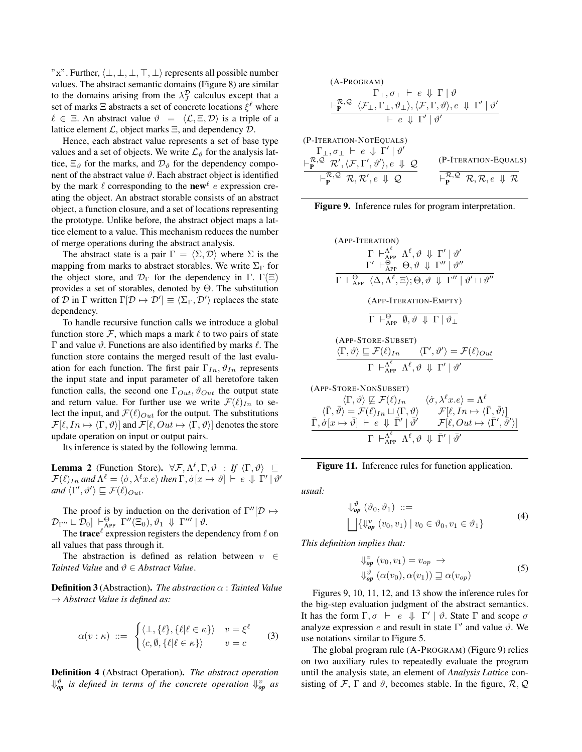"x". Further,  $\langle \perp, \perp, \perp, \perp \rangle$  represents all possible number values. The abstract semantic domains (Figure 8) are similar to the domains arising from the  $\lambda_J^{\mathcal{D}}$  calculus except that a set of marks  $\Xi$  abstracts a set of concrete locations  $\xi^{\ell}$  where  $\ell \in \Xi$ . An abstract value  $\vartheta = \langle \mathcal{L}, \Xi, \mathcal{D} \rangle$  is a triple of a lattice element  $\mathcal{L}$ , object marks  $\Xi$ , and dependency  $\mathcal{D}$ .

Hence, each abstract value represents a set of base type values and a set of objects. We write  $\mathcal{L}_{\vartheta}$  for the analysis lattice,  $\Xi_{\vartheta}$  for the marks, and  $\mathcal{D}_{\vartheta}$  for the dependency component of the abstract value  $\vartheta$ . Each abstract object is identified by the mark  $\ell$  corresponding to the **new**  $\ell$  expression creating the object. An abstract storable consists of an abstract object, a function closure, and a set of locations representing the prototype. Unlike before, the abstract object maps a lattice element to a value. This mechanism reduces the number of merge operations during the abstract analysis.

The abstract state is a pair  $\Gamma = \langle \Sigma, \mathcal{D} \rangle$  where  $\Sigma$  is the mapping from marks to abstract storables. We write  $\Sigma_{\Gamma}$  for the object store, and  $\mathcal{D}_{\Gamma}$  for the dependency in  $\Gamma$ .  $\Gamma(\Xi)$ provides a set of storables, denoted by Θ. The substitution of D in  $\Gamma$  written  $\Gamma[\mathcal{D} \mapsto \mathcal{D}'] \equiv \langle \Sigma_{\Gamma}, \mathcal{D}' \rangle$  replaces the state dependency.

To handle recursive function calls we introduce a global function store  $\mathcal{F}$ , which maps a mark  $\ell$  to two pairs of state Γ and value  $\vartheta$ . Functions are also identified by marks  $\ell$ . The function store contains the merged result of the last evaluation for each function. The first pair  $\Gamma_{In}$ ,  $\vartheta_{In}$  represents the input state and input parameter of all heretofore taken function calls, the second one  $\Gamma_{Out}$ ,  $\vartheta_{Out}$  the output state and return value. For further use we write  $\mathcal{F}(\ell)_{In}$  to select the input, and  $\mathcal{F}(\ell)_{Out}$  for the output. The substitutions  $\mathcal{F}[\ell, In \mapsto \langle \Gamma, \vartheta \rangle]$  and  $\mathcal{F}[\ell, Out \mapsto \langle \Gamma, \vartheta \rangle]$  denotes the store update operation on input or output pairs.

Its inference is stated by the following lemma.

**Lemma 2** (Function Store).  $\forall \mathcal{F}, \Lambda^{\ell}, \Gamma, \vartheta : \textit{If } \langle \Gamma, \vartheta \rangle \subseteq$  $\mathcal{F}(\ell)_{In}$  and  $\Lambda^{\ell}=\langle\dot{\sigma},\lambda^{\ell}x.e\rangle$  then  $\Gamma,\dot{\sigma}[x\mapsto\vartheta]\;\vdash\; e\;\Downarrow\;\Gamma'\,|\,\vartheta'$  $and \langle \Gamma', \vartheta' \rangle \sqsubseteq \mathcal{F}(\ell)_{Out}.$ 

The proof is by induction on the derivation of  $\Gamma''[D \mapsto$  $\mathcal{D}_{\Gamma^{\prime\prime}}\sqcup\mathcal{D}_{0}]\ \vdash_{\text{APP}}^{\Theta}\ \Gamma^{\prime\prime}(\Xi_{0}), \vartheta_{1}\ \Downarrow\ \Gamma^{\prime\prime\prime}\mid \vartheta.$ 

The trace  $\ell$  expression registers the dependency from  $\ell$  on all values that pass through it.

The abstraction is defined as relation between  $v \in$ *Tainted Value* and  $\vartheta \in Abstract$  *Value.* 

Definition 3 (Abstraction). *The abstraction* α : *Tainted Value* → *Abstract Value is defined as:*

$$
\alpha(v:\kappa) \ ::= \ \begin{cases} \langle \bot, \{\ell\}, \{\ell | \ell \in \kappa\} \rangle & v = \xi^{\ell} \\ \langle c, \emptyset, \{\ell | \ell \in \kappa\} \rangle & v = c \end{cases} \tag{3}
$$

Definition 4 (Abstract Operation). *The abstract operation*  $\Downarrow_{op}^{\vartheta}$  *is defined in terms of the concrete operation*  $\Downarrow_{op}^{\upsilon}$  *as* 

$$
\begin{array}{l}\n(A\text{-}\text{PROGRAM}) \\
\Gamma_{\perp}, \sigma_{\perp} \vdash e \Downarrow \Gamma \mid \vartheta \\
\quad \frac{\vdash^{\mathcal{R},\mathcal{Q}}}{\text{P}} \langle \mathcal{F}_{\perp}, \Gamma_{\perp}, \vartheta_{\perp} \rangle, \langle \mathcal{F}, \Gamma, \vartheta \rangle, e \Downarrow \Gamma' \mid \vartheta' \\
\quad \vdash e \Downarrow \Gamma' \mid \vartheta'\n\end{array}
$$

| (P-ITERATION-NOTEQUALS)                                                                                                                                                                                            |                                                                                                  |
|--------------------------------------------------------------------------------------------------------------------------------------------------------------------------------------------------------------------|--------------------------------------------------------------------------------------------------|
| $\Gamma_{\perp}, \sigma_{\perp} \vdash e \Downarrow \Gamma' \mid \vartheta'$<br>$\vdash_{\mathbf{p}}^{\mathcal{R},\mathcal{Q}} \mathcal{R}',\langle \mathcal{F},\Gamma',\vartheta'\rangle, e\Downarrow\mathcal{Q}$ | (P-ITERATION-EQUALS)                                                                             |
| $\vdash_{\mathbf{P}}^{\mathcal{R},\mathcal{Q}} \mathcal{R},\mathcal{R}',e \Downarrow \mathcal{Q}$                                                                                                                  | $\vdash_{\mathbf{P}}^{\mathcal{R},\mathcal{Q}} \mathcal{R},\mathcal{R},e \Downarrow \mathcal{R}$ |



$$
(APP-ITERATION)
$$
\n
$$
\Gamma \vdash^{\Lambda^{\ell}}_{APP} \Lambda^{\ell}, \vartheta \Downarrow \Gamma' \mid \vartheta'
$$
\n
$$
\Gamma' \vdash^{\Theta}_{APP} \Theta, \vartheta \Downarrow \Gamma'' \mid \vartheta''
$$
\n
$$
\overline{\Gamma} \vdash^{\Theta}_{APP} \langle \Delta, \Lambda^{\ell}, \Xi \rangle; \Theta, \vartheta \Downarrow \Gamma'' \mid \vartheta' \sqcup \vartheta''
$$
\n
$$
(APP-ITERATION-EMPTY)
$$
\n
$$
\overline{\Gamma} \vdash^{\Theta}_{APP} \emptyset, \vartheta \Downarrow \Gamma \mid \vartheta_{\perp}
$$
\n
$$
(APP-STORE-SUBSET)
$$
\n
$$
\langle \Gamma, \vartheta \rangle \sqsubseteq \mathcal{F}(\ell)_{In} \qquad \langle \Gamma', \vartheta' \rangle = \mathcal{F}(\ell)_{Out}
$$
\n
$$
\overline{\Gamma} \vdash^{\Lambda^{\ell}}_{APP} \Lambda^{\ell}, \vartheta \Downarrow \Gamma' \mid \vartheta'
$$

$$
\begin{array}{ll}\n\text{(APP-STORE-NONSUBSET)} \\
\langle \Gamma, \vartheta \rangle \not\sqsubseteq \mathcal{F}(\ell)_{In} & \langle \dot{\sigma}, \lambda^{\ell} x.e \rangle = \Lambda^{\ell} \\
\langle \bar{\Gamma}, \bar{\vartheta} \rangle = \mathcal{F}(\ell)_{In} \sqcup \langle \Gamma, \vartheta \rangle & \mathcal{F}[\ell, In \mapsto \langle \bar{\Gamma}, \bar{\vartheta} \rangle] \\
\bar{\Gamma}, \dot{\sigma}[x \mapsto \bar{\vartheta}] \ \vdash \ e \ \Downarrow \ \bar{\Gamma}' \mid \bar{\vartheta}' & \mathcal{F}[\ell, Out \mapsto \langle \bar{\Gamma}', \bar{\vartheta}' \rangle] \\
\Gamma \vdash^{\Lambda^{\ell}}_{\mathrm{APP}} \ \Lambda^{\ell}, \vartheta \ \Downarrow \ \bar{\Gamma}' \mid \bar{\vartheta}'\n\end{array}
$$

#### Figure 11. Inference rules for function application.

*usual:*

$$
\bigcup_{\mathbf{op}}^{\mathcal{Y}} (\vartheta_0, \vartheta_1) ::=
$$
\n
$$
\bigcup \{ \downarrow_{\mathbf{op}}^v (v_0, v_1) \mid v_0 \in \vartheta_0, v_1 \in \vartheta_1 \}
$$
\n(4)

*This definition implies that:*

$$
\psi_{op}^v (v_0, v_1) = v_{op} \to \n\psi_{op}^{\phi} (\alpha(v_0), \alpha(v_1)) \supseteq \alpha(v_{op})
$$
\n(5)

Figures 9, 10, 11, 12, and 13 show the inference rules for the big-step evaluation judgment of the abstract semantics. It has the form  $\Gamma, \sigma \vdash e \Downarrow \Gamma' \mid \vartheta$ . State  $\Gamma$  and scope  $\sigma$ analyze expression e and result in state  $\Gamma'$  and value  $\vartheta$ . We use notations similar to Figure 5.

The global program rule (A-PROGRAM) (Figure 9) relies on two auxiliary rules to repeatedly evaluate the program until the analysis state, an element of *Analysis Lattice* consisting of  $\mathcal{F}$ ,  $\Gamma$  and  $\vartheta$ , becomes stable. In the figure,  $\mathcal{R}, \mathcal{Q}$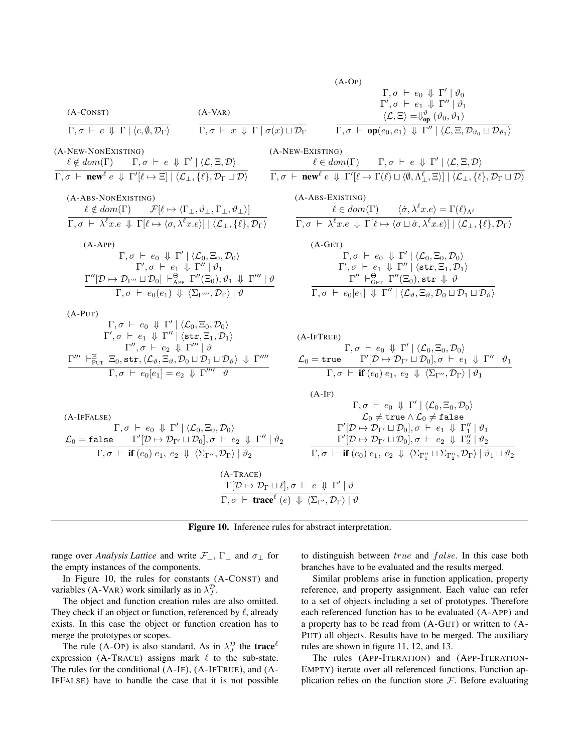(A-OOST)  
\n(A-VAR)  
\n
$$
\frac{A-VAR}{\Gamma, \sigma + c + \frac{1}{2}\Gamma \left(c, \theta, \mathcal{D}_T\right)}
$$
\n(A-VAR)  
\n
$$
\frac{C}{\Gamma, \sigma + c + \frac{1}{2}\Gamma \left(c, \theta, \mathcal{D}_T\right)}
$$
\n(A-VAR)  
\n
$$
\frac{C}{\Gamma, \sigma + c + \frac{1}{2}\Gamma \left(c, \theta, \mathcal{D}_T\right)}
$$
\n(A-VAR)  
\n
$$
\frac{C}{\Gamma, \sigma + c + \frac{1}{2}\Gamma \left(c, \theta, \mathcal{D}_T\right)
$$
\n(A-VERV-ENISTING)  
\n(A-VERV-NONEXISTING)  
\n
$$
\frac{C}{\Gamma, \sigma + c + \frac{1}{2}\Gamma \left(c, \theta, \mathcal{D}_T\right)}
$$
\n(A-VERV-EXISTING)  
\n(A-VERV-NONEXISTING)  
\n
$$
\frac{C}{\Gamma, \sigma + c + \frac{1}{2}\Gamma \left(c, \theta, \mathcal{D}_T\right)}
$$
\n(A-VERV-EXISTING)  
\n
$$
\frac{C}{\Gamma, \sigma + c + \frac{1}{2}\Gamma \left(c, \theta, \mathcal{D}_T\right)}
$$
\n(A-VERV-NOH) 
$$
\frac{C}{\Gamma, \sigma + c + \frac{1}{2}\Gamma \left(c, \theta, \mathcal{D}_T\right)}
$$
\n(A-VERV-NOH) 
$$
\frac{C}{\Gamma, \sigma + c + \frac{1}{2}\Gamma \left(c, \theta, \mathcal{D}_T\right)}
$$
\n(A-VERV) 
$$
\frac{C}{\Gamma, \sigma + c + \frac{1}{2}\Gamma \left(c, \theta, \mathcal{D}_T\right)}
$$
\n(A-VERV)  
\n
$$
\frac{C}{\Gamma, \sigma + c + \frac{1}{2}\Gamma \left(c, \theta, \mathcal{D}_T\right)}
$$
\n(A-VERV)  
\n
$$
\frac{C}{\Gamma, \sigma + c + \frac{1}{2}\Gamma \left(c, \theta, \mathcal{D}_T\right)}
$$
\n(A-VERV)  
\n
$$
\frac{C}{\Gamma, \sigma + c + \frac{1}{2}\Gamma \left(c, \theta, \mathcal{D}_T\right)}
$$
\n(A-VERV)  
\n
$$
\frac{C}{\Gamma,
$$

Figure 10. Inference rules for abstract interpretation.

range over *Analysis Lattice* and write  $\mathcal{F}_\perp$ ,  $\Gamma_\perp$  and  $\sigma_\perp$  for the empty instances of the components.

In Figure 10, the rules for constants (A-CONST) and variables (A-VAR) work similarly as in  $\lambda_j^{\mathcal{D}}$ .

The object and function creation rules are also omitted. They check if an object or function, referenced by  $\ell$ , already exists. In this case the object or function creation has to merge the prototypes or scopes.

The rule (A-OP) is also standard. As in  $\lambda_J^{\mathcal{D}}$  the **trace**<sup> $\ell$ </sup> expression (A-TRACE) assigns mark  $\ell$  to the sub-state. The rules for the conditional (A-IF), (A-IFTRUE), and (A-IFFALSE) have to handle the case that it is not possible to distinguish between  $true$  and  $false$ . In this case both branches have to be evaluated and the results merged.

Similar problems arise in function application, property reference, and property assignment. Each value can refer to a set of objects including a set of prototypes. Therefore each referenced function has to be evaluated (A-APP) and a property has to be read from (A-GET) or written to (A-PUT) all objects. Results have to be merged. The auxiliary rules are shown in figure 11, 12, and 13.

The rules (APP-ITERATION) and (APP-ITERATION-EMPTY) iterate over all referenced functions. Function application relies on the function store  $F$ . Before evaluating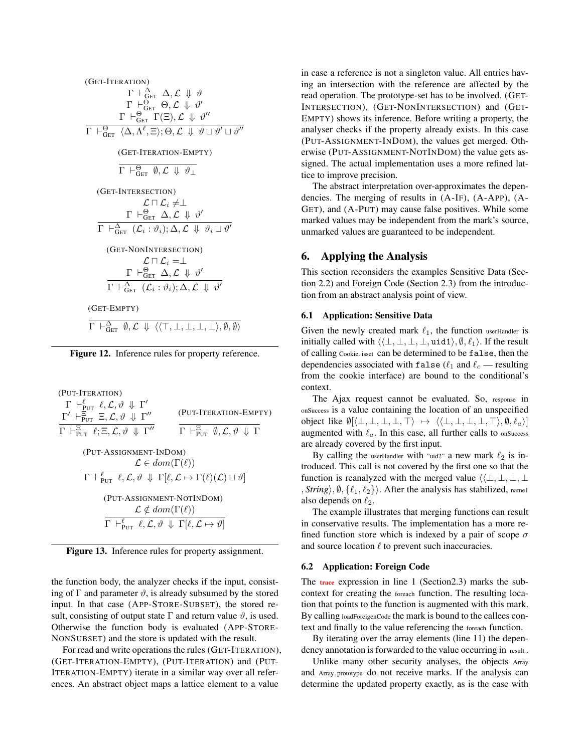| (GET-ITERATION)                                                                                                                                                                                                                                                                                           |
|-----------------------------------------------------------------------------------------------------------------------------------------------------------------------------------------------------------------------------------------------------------------------------------------------------------|
|                                                                                                                                                                                                                                                                                                           |
|                                                                                                                                                                                                                                                                                                           |
| $\begin{array}{c} \Gamma \ \vdash_{\text{GET}}^{\Delta} \Delta, \mathcal{L} \ \Downarrow \ \vartheta \\ \Gamma \ \vdash_{\text{GET}}^{\Theta} \ \Theta, \mathcal{L} \ \Downarrow \ \vartheta' \\ \Gamma \ \vdash_{\text{GET}}^{\Theta} \ \Gamma(\Xi), \mathcal{L} \ \Downarrow \ \vartheta'' \end{array}$ |
|                                                                                                                                                                                                                                                                                                           |
| $\Gamma \vdash_{\mathsf{GET}}^{\Theta} \langle \Delta, \overline{\Lambda^{\ell}, \Xi} \rangle; \Theta, \mathcal{L} \Downarrow \vartheta \sqcup \vartheta' \sqcup \vartheta''$                                                                                                                             |
|                                                                                                                                                                                                                                                                                                           |
| (GET-ITERATION-EMPTY)                                                                                                                                                                                                                                                                                     |
| $\overline{\Gamma \vdash_{\mathsf{GFT}}^{\Theta} \emptyset, \mathcal{L} \Downarrow \vartheta_{\perp}}$                                                                                                                                                                                                    |
|                                                                                                                                                                                                                                                                                                           |
| (GET-INTERSECTION)                                                                                                                                                                                                                                                                                        |
| $\mathcal{L} \sqcap \mathcal{L}_i \neq \perp$                                                                                                                                                                                                                                                             |
|                                                                                                                                                                                                                                                                                                           |
| $\Gamma \ \vdash^\Theta_{\mathsf{GET}} \ \Delta, \mathcal{L} \ \Downarrow \ \vartheta'$                                                                                                                                                                                                                   |
| $\overline{\Gamma \ \vdash_{\text{GET}}^{\Delta} \ (\mathcal{L}_i : \vartheta_i); \Delta, \mathcal{L} \ \Downarrow \ \vartheta_i \sqcup \vartheta' }$                                                                                                                                                     |
| (GET-NONINTERSECTION)                                                                                                                                                                                                                                                                                     |
| $\mathcal{L} \sqcap \mathcal{L}_i = \perp$                                                                                                                                                                                                                                                                |
| $\Gamma \vdash^{\Theta}_{\text{GET}} \Delta, \mathcal{L} \Downarrow \vartheta'$                                                                                                                                                                                                                           |
| $\Gamma \vdash_{\mathbf{GET}}^{\overline{\Delta}} (\overline{\mathcal{L}_i} : \vartheta_i); \Delta, \mathcal{L} \Downarrow \vartheta'$                                                                                                                                                                    |
|                                                                                                                                                                                                                                                                                                           |
| (GET-EMPTY)                                                                                                                                                                                                                                                                                               |
| $\Gamma \vdash^{\Delta}_{\text{GET}} \emptyset, \mathcal{L} \Downarrow \langle \langle \top, \bot, \bot, \bot, \bot \rangle, \emptyset, \emptyset \rangle$                                                                                                                                                |

Figure 12. Inference rules for property reference.

| (PUT-ITERATION)                                                                                                                                                                                                                                                          |                                                                                                                 |
|--------------------------------------------------------------------------------------------------------------------------------------------------------------------------------------------------------------------------------------------------------------------------|-----------------------------------------------------------------------------------------------------------------|
| $\Gamma \vdash_{\text{PUT}}^{\ell} \ell, \mathcal{L}, \vartheta \Downarrow \Gamma'$<br>$\Gamma' \vdash_{\text{PUT}}^{\Xi''} \Xi, \mathcal{L}, \vartheta \Downarrow \Gamma''$<br>$\Gamma \vdash_{\text{PUT}}^{\Xi} \ell; \Xi, \mathcal{L}, \vartheta \Downarrow \Gamma''$ | (PUT-ITERATION-EMPTY)<br>$\Gamma \vdash^{\Xi}_{\text{PUT}} \emptyset, \mathcal{L}, \vartheta \Downarrow \Gamma$ |
| (PUT-ASSIGNMENT-INDOM)                                                                                                                                                                                                                                                   |                                                                                                                 |
| $\mathcal{L} \in dom(\Gamma(\ell))$<br>$\Gamma \vdash_{\text{PUT}}^{\ell} \ell, \mathcal{L}, \vartheta \Downarrow \Gamma[\ell, \mathcal{L} \mapsto \Gamma(\ell)(\mathcal{L}) \sqcup \vartheta]$                                                                          |                                                                                                                 |
|                                                                                                                                                                                                                                                                          |                                                                                                                 |
| (PUT-ASSIGNMENT-NOTINDOM)<br>$\mathcal{L} \notin dom(\Gamma(\ell))$                                                                                                                                                                                                      |                                                                                                                 |
| $\overline{\Gamma} \vdash^{\ell}_{\text{Pitt}} \ell, \mathcal{L}, \vartheta \Downarrow \Gamma[\ell, \mathcal{L} \mapsto \vartheta]$                                                                                                                                      |                                                                                                                 |

Figure 13. Inference rules for property assignment.

the function body, the analyzer checks if the input, consisting of  $\Gamma$  and parameter  $\vartheta$ , is already subsumed by the stored input. In that case (APP-STORE-SUBSET), the stored result, consisting of output state  $\Gamma$  and return value  $\vartheta$ , is used. Otherwise the function body is evaluated (APP-STORE-NONSUBSET) and the store is updated with the result.

For read and write operations the rules (GET-ITERATION), (GET-ITERATION-EMPTY), (PUT-ITERATION) and (PUT-ITERATION-EMPTY) iterate in a similar way over all references. An abstract object maps a lattice element to a value

in case a reference is not a singleton value. All entries having an intersection with the reference are affected by the read operation. The prototype-set has to be involved. (GET-INTERSECTION), (GET-NONINTERSECTION) and (GET-EMPTY) shows its inference. Before writing a property, the analyser checks if the property already exists. In this case (PUT-ASSIGNMENT-INDOM), the values get merged. Otherwise (PUT-ASSIGNMENT-NOTINDOM) the value gets assigned. The actual implementation uses a more refined lattice to improve precision.

The abstract interpretation over-approximates the dependencies. The merging of results in (A-IF), (A-APP), (A-GET), and (A-PUT) may cause false positives. While some marked values may be independent from the mark's source, unmarked values are guaranteed to be independent.

# 6. Applying the Analysis

This section reconsiders the examples Sensitive Data (Section 2.2) and Foreign Code (Section 2.3) from the introduction from an abstract analysis point of view.

#### 6.1 Application: Sensitive Data

Given the newly created mark  $\ell_1$ , the function userHandler is initially called with  $\langle \perp, \perp, \perp, \perp, \text{uid1}\rangle, \emptyset, \ell_1 \rangle$ . If the result of calling Cookie. isset can be determined to be false, then the dependencies associated with false ( $\ell_1$  and  $\ell_c$  — resulting from the cookie interface) are bound to the conditional's context.

The Ajax request cannot be evaluated. So, response in onSuccess is a value containing the location of an unspecified object like  $\emptyset[\langle \bot, \bot, \bot, \bot, \top \rangle \mapsto \langle \langle \bot, \bot, \bot, \bot, \top \rangle, \emptyset, \ell_a \rangle]$ augmented with  $\ell_a$ . In this case, all further calls to onSuccess are already covered by the first input.

By calling the userHandler with "uid2" a new mark  $\ell_2$  is introduced. This call is not covered by the first one so that the function is reanalyzed with the merged value  $\langle \perp, \perp, \perp, \perp \rangle$ , *String*),  $\emptyset$ ,  $\{\ell_1, \ell_2\}$ . After the analysis has stabilized, namely also depends on  $\ell_2$ .

The example illustrates that merging functions can result in conservative results. The implementation has a more refined function store which is indexed by a pair of scope  $\sigma$ and source location  $\ell$  to prevent such inaccuracies.

#### 6.2 Application: Foreign Code

The trace expression in line 1 (Section2.3) marks the subcontext for creating the foreach function. The resulting location that points to the function is augmented with this mark. By calling loadForeigenCode the mark is bound to the callees context and finally to the value referencing the foreach function.

By iterating over the array elements (line 11) the dependency annotation is forwarded to the value occurring in result .

Unlike many other security analyses, the objects Array and Array. prototype do not receive marks. If the analysis can determine the updated property exactly, as is the case with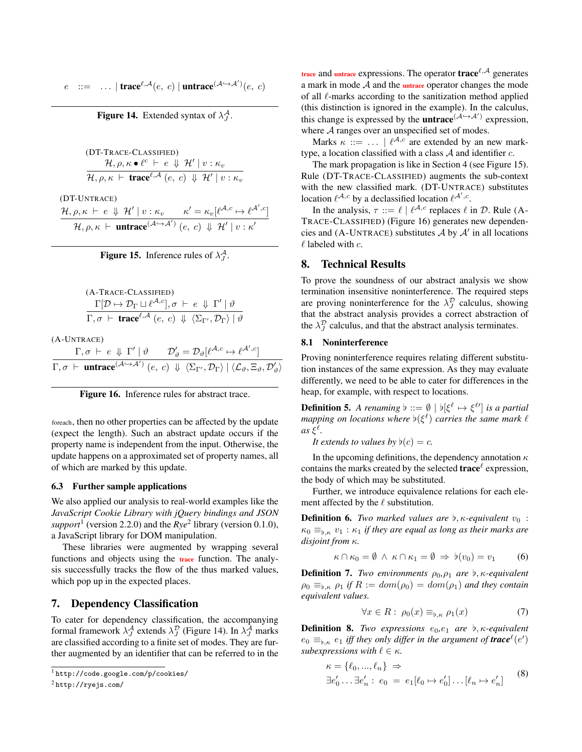$e$  ::= ... | trace<sup> $\ell, A$ </sup> $(e, c)$  | untrace<sup> $(A \rightarrow A')$ </sup> $(e, c)$ 

**Figure 14.** Extended syntax of  $\lambda_j^A$ .

(DT-Trace-CLASSIFIED)  
\n
$$
\mathcal{H}, \rho, \kappa \bullet \ell^c \vdash e \Downarrow \mathcal{H}' \mid v : \kappa_v
$$
  
\n $\mathcal{H}, \rho, \kappa \vdash \textbf{trace}^{\ell, \mathcal{A}}(e, c) \Downarrow \mathcal{H}' \mid v : \kappa_v$ 

(DT-UNTRACE)

 $\mathcal{H}, \rho, \kappa \ \vdash \ e \ \Downarrow \ \mathcal{H}' \ \vert \ v : \kappa_v \qquad \kappa' = \kappa_v[\ell^{\mathcal{A}, c} \mapsto \ell^{\mathcal{A}', c}]$  $\overline{\mathcal{H}, \rho, \kappa \vdash$  untrace $^{(\mathcal{A} \hookrightarrow \mathcal{A}')}$   $(e, c) \Downarrow \mathcal{H}' \mid v : \kappa'$ 



$$
\frac{\Gamma[\mathcal{D}\mapsto \mathcal{D}_{\Gamma}\sqcup \ell^{\mathcal{A},c}], \sigma \vdash e \Downarrow \Gamma' \mid \vartheta}{\Gamma, \sigma \vdash \textbf{trace}^{\ell,\mathcal{A}}(e, c) \Downarrow \langle \Sigma_{\Gamma'}, \mathcal{D}_{\Gamma} \rangle \mid \vartheta}
$$

(A-UNTRACE)

 $\Gamma, \sigma \ \vdash \ e \ \Downarrow \ \Gamma' \ \vert \ \vartheta \qquad \mathcal{D}'_{\vartheta} = \mathcal{D}_{\vartheta}[\ell^{\mathcal{A},c} \mapsto \ell^{\mathcal{A}',c}]$  $\Gamma, \sigma \ \vdash \ \textbf{untrace}^{(\mathcal{A} \leftrightarrow \mathcal{A}')} \ (e, \ c) \ \Downarrow \ \langle \Sigma_{\Gamma'}, \mathcal{D}_{\Gamma} \rangle \ | \ \langle \mathcal{L}_{\vartheta}, \Xi_{\vartheta}, \mathcal{D}_{\vartheta}' \rangle$ 



foreach, then no other properties can be affected by the update (expect the length). Such an abstract update occurs if the property name is independent from the input. Otherwise, the update happens on a approximated set of property names, all of which are marked by this update.

### 6.3 Further sample applications

We also applied our analysis to real-world examples like the *JavaScript Cookie Library with jQuery bindings and JSON* support<sup>1</sup> (version 2.2.0) and the  $Rye^2$  library (version 0.1.0), a JavaScript library for DOM manipulation.

These libraries were augmented by wrapping several functions and objects using the trace function. The analysis successfully tracks the flow of the thus marked values, which pop up in the expected places.

# 7. Dependency Classification

To cater for dependency classification, the accompanying formal framework  $\lambda_J^{\mathcal{A}}$  extends  $\lambda_J^{\mathcal{D}}$  (Figure 14). In  $\lambda_J^{\mathcal{A}}$  marks are classified according to a finite set of modes. They are further augmented by an identifier that can be referred to in the

<sup>2</sup> http://ryejs.com/

trace and untrace expressions. The operator  $trace^{\ell,A}$  generates a mark in mode  $A$  and the untrace operator changes the mode of all ℓ-marks according to the sanitization method applied (this distinction is ignored in the example). In the calculus, this change is expressed by the **untrace**  $(A \rightarrow A')$  expression, where  $A$  ranges over an unspecified set of modes.

Marks  $\kappa ::= \ldots \mid \ell^{\mathcal{A}, c}$  are extended by an new marktype, a location classified with a class  $A$  and identifier  $c$ .

The mark propagation is like in Section 4 (see Figure 15). Rule (DT-TRACE-CLASSIFIED) augments the sub-context with the new classified mark. (DT-UNTRACE) substitutes location  $\ell^{\mathcal{A},c}$  by a declassified location  $\ell^{\mathcal{A}',c}$ .

In the analysis,  $\tau ::= \ell \mid \ell^{\mathcal{A},c}$  replaces  $\ell$  in  $\mathcal{D}$ . Rule (A-TRACE-CLASSIFIED) (Figure 16) generates new dependencies and (A-UNTRACE) substitutes  $A$  by  $A'$  in all locations  $\ell$  labeled with  $c$ .

# 8. Technical Results

To prove the soundness of our abstract analysis we show termination insensitive noninterference. The required steps are proving noninterference for the  $\lambda_J^{\mathcal{D}}$  calculus, showing that the abstract analysis provides a correct abstraction of the  $\lambda_J^{\mathcal{D}}$  calculus, and that the abstract analysis terminates.

## 8.1 Noninterference

Proving noninterference requires relating different substitution instances of the same expression. As they may evaluate differently, we need to be able to cater for differences in the heap, for example, with respect to locations.

**Definition 5.** A renaming  $\flat ::= \emptyset \mid \flat[\xi^{\ell} \mapsto \xi^{\ell\ell}]$  is a partial *mapping on locations where* ♭(ξ ℓ ) *carries the same mark* ℓ  $as \xi^{\ell}$ .

*It extends to values by*  $\flat(c) = c$ *.* 

In the upcoming definitions, the dependency annotation  $\kappa$ contains the marks created by the selected **trace** expression, the body of which may be substituted.

Further, we introduce equivalence relations for each element affected by the  $\ell$  substitution.

**Definition 6.** *Two marked values are*  $\flat$ ,  $\kappa$ *-equivalent*  $v_0$ :  $\kappa_0 \equiv_{\flat,\kappa} v_1 : \kappa_1$  *if they are equal as long as their marks are disjoint from* κ*.*

$$
\kappa \cap \kappa_0 = \emptyset \ \land \ \kappa \cap \kappa_1 = \emptyset \ \Rightarrow \ b(v_0) = v_1 \tag{6}
$$

**Definition 7.** *Two environments*  $\rho_0$ ,  $\rho_1$  *are*  $\flat$ ,  $\kappa$ *-equivalent*  $\rho_0 \equiv_{\flat,\kappa} \rho_1$  *if*  $R := dom(\rho_0) = dom(\rho_1)$  *and they contain equivalent values.*

$$
\forall x \in R : \rho_0(x) \equiv_{\flat,\kappa} \rho_1(x) \tag{7}
$$

**Definition 8.** *Two expressions*  $e_0, e_1$  *are*  $\flat$ ,  $\kappa$ *-equivalent*  $e_0 \equiv_{\flat,\kappa} e_1$  *iff they only differ in the argument of trace<sup>* $\ell$ *</sup>(e') subexpressions with*  $\ell \in \kappa$ *.* 

$$
\begin{aligned} \kappa &= \{\ell_0, \dots, \ell_n\} \Rightarrow \\ \exists e'_0 \dots \exists e'_n : e_0 &= e_1[\ell_0 \mapsto e'_0] \dots [\ell_n \mapsto e'_n] \end{aligned} \tag{8}
$$

<sup>1</sup> http://code.google.com/p/cookies/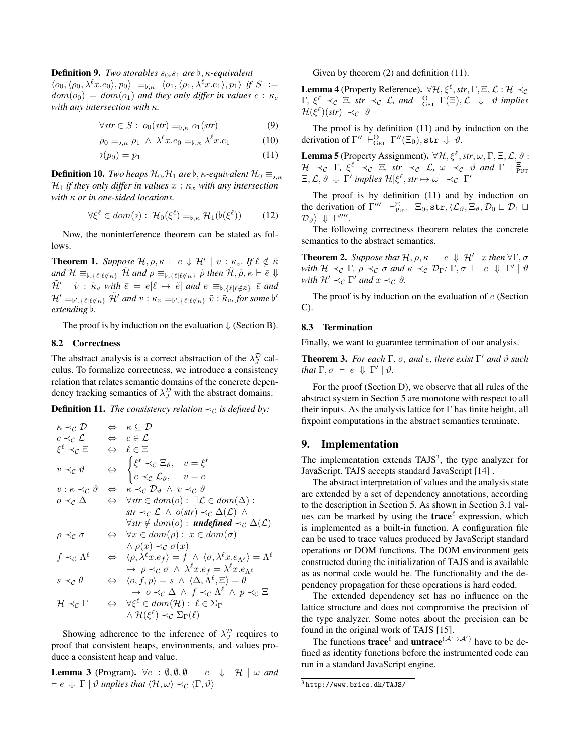**Definition 9.** *Two storables*  $s_0, s_1$  *are*  $\flat$ ,  $\kappa$ *-equivalent* 

 $\langle o_0, \langle \rho_0, \lambda \ell x. e_0 \rangle, p_0 \rangle \equiv_{\flat,\kappa} \langle o_1, \langle \rho_1, \lambda \ell x. e_1 \rangle, p_1 \rangle$  if  $S :=$  $dom(o_0) = dom(o_1)$  *and they only differ in values*  $c : \kappa_c$ *with any intersection with* κ*.*

$$
\forall str \in S: \ o_0(str) \equiv_{\flat,\kappa} o_1(str) \tag{9}
$$

$$
\rho_0 \equiv_{\flat,\kappa} \rho_1 \wedge \lambda^{\ell} x.e_0 \equiv_{\flat,\kappa} \lambda^{\ell} x.e_1 \tag{10}
$$

$$
\flat(p_0) = p_1 \tag{11}
$$

**Definition 10.** *Two heaps*  $\mathcal{H}_0$ ,  $\mathcal{H}_1$  *are*  $\flat$ ,  $\kappa$ *-equivalent*  $\mathcal{H}_0 \equiv_{\flat,\kappa}$  $\mathcal{H}_1$  *if they only differ in values*  $x : \kappa_x$  *with any intersection with* κ *or in one-sided locations.*

$$
\forall \xi^{\ell} \in dom(\mathfrak{b}): \mathcal{H}_0(\xi^{\ell}) \equiv_{\mathfrak{b}, \kappa} \mathcal{H}_1(\mathfrak{b}(\xi^{\ell})) \qquad (12)
$$

Now, the noninterference theorem can be stated as follows.

**Theorem 1.** *Suppose*  $\mathcal{H}, \rho, \kappa \vdash e \Downarrow \mathcal{H}' \mid v : \kappa_v$ . If  $\ell \notin \bar{\kappa}$ *and*  $\mathcal{H} \equiv_{b,\{\ell | \ell \notin \bar{\kappa}\}} \mathcal{H}$  *and*  $\rho \equiv_{b,\{\ell | \ell \notin \bar{\kappa}\}} \tilde{\rho}$  *then*  $\mathcal{H}, \tilde{\rho}, \kappa \vdash \bar{e} \Downarrow$  $\tilde{\mathcal{H}}' \mid \tilde{v} : \tilde{\kappa}_v$  with  $\bar{e} = e[\ell \mapsto \tilde{e}]$  and  $e \equiv_{\flat, \{\ell | \ell \notin \bar{\kappa}\}} \bar{e}$  and  $\mathcal{H}'\equiv_{\flat',\{\ell|\ell\notin\bar{\kappa}\}}\tilde{\mathcal{H}}'$  and  $v:\kappa_v\equiv_{\flat',\{\ell|\ell\notin\bar{\kappa}\}}\tilde{v}:\tilde{\kappa}_v,$  for some  $\flat'$ *extending* ♭*.*

The proof is by induction on the evaluation  $\Downarrow$  (Section B).

### 8.2 Correctness

The abstract analysis is a correct abstraction of the  $\lambda_J^{\mathcal{D}}$  calculus. To formalize correctness, we introduce a consistency relation that relates semantic domains of the concrete dependency tracking semantics of  $\lambda_J^{\mathcal{D}}$  with the abstract domains.

**Definition 11.** *The consistency relation*  $\prec$ *€ is defined by:* 

$$
\kappa \prec_{\mathcal{C}} \mathcal{D} \Leftrightarrow \kappa \subseteq \mathcal{D}
$$
\n
$$
c \prec_{\mathcal{C}} \mathcal{L} \Leftrightarrow c \in \mathcal{L}
$$
\n
$$
\xi^{\ell} \prec_{\mathcal{C}} \Xi \Leftrightarrow \ell \in \Xi
$$
\n
$$
v \prec_{\mathcal{C}} \vartheta \Leftrightarrow \begin{cases} \xi^{\ell} \prec_{\mathcal{C}} \Xi_{\vartheta}, & v = \xi^{\ell} \\ c \prec_{\mathcal{C}} \mathcal{L}_{\vartheta}, & v = c \end{cases}
$$
\n
$$
v : \kappa \prec_{\mathcal{C}} \vartheta \Leftrightarrow \kappa \prec_{\mathcal{C}} \mathcal{D}_{\vartheta} \wedge v \prec_{\mathcal{C}} \vartheta
$$
\n
$$
o \prec_{\mathcal{C}} \Delta \Leftrightarrow \forall str \in dom(o) : \exists \mathcal{L} \in dom(\Delta) : str \prec_{\mathcal{C}} \mathcal{L} \wedge o(str) \prec_{\mathcal{C}} \Delta(\mathcal{L}) \wedge \forall str \notin dom(o) : undefined \prec_{\mathcal{C}} \Delta(\mathcal{L})
$$
\n
$$
\varphi \prec_{\mathcal{C}} \sigma \Leftrightarrow \forall x \in dom(\rho) : x \in dom(\sigma)
$$
\n
$$
\wedge \rho(x) \prec_{\mathcal{C}} \sigma(x)
$$
\n
$$
f \prec_{\mathcal{C}} \Lambda^{\ell} \Leftrightarrow \langle \rho, \lambda^{\ell} x . e_f \rangle = f \wedge \langle \sigma, \lambda^{\ell} x . e_{\Lambda^{\ell}} \rangle = \Lambda^{\ell}
$$
\n
$$
s \prec_{\mathcal{C}} \theta \Leftrightarrow \langle o, f, p \rangle = s \wedge \langle \Delta, \Lambda^{\ell}, \Xi \rangle = \theta
$$
\n
$$
\rightarrow o \prec_{\mathcal{C}} \Delta \wedge f \prec_{\mathcal{C}} \Lambda^{\ell} \wedge p \prec_{\mathcal{C}} \Xi
$$
\n
$$
\mathcal{H} \prec_{\mathcal{C}} \Gamma \Leftrightarrow \forall \xi^{\ell} \in dom(\mathcal{H}) : \ell \in \Sigma_{\Gamma}
$$
\n
$$
\wedge \mathcal{H}(\xi^{\ell}) \prec_{\mathcal{C}}
$$

Showing adherence to the inference of  $\lambda_J^{\mathcal{D}}$  requires to proof that consistent heaps, environments, and values produce a consistent heap and value.

**Lemma 3** (Program).  $\forall e : \emptyset, \emptyset, \emptyset \vdash e \Downarrow \mathcal{H} \mid \omega$  and  $\vdash e \Downarrow \Gamma \mid \vartheta$  *implies that*  $\langle \mathcal{H}, \omega \rangle \prec_{\mathcal{C}} \langle \Gamma, \vartheta \rangle$ 

Given by theorem (2) and definition (11).

**Lemma 4** (Property Reference).  $\forall \mathcal{H}, \xi^{\ell}, str, \Gamma, \Xi, \mathcal{L} : \mathcal{H} \prec_{\mathcal{C}}$  $\Gamma$ ,  $\xi^{\ell} \prec_{\mathcal{C}} \Xi$ , str  $\prec_{\mathcal{C}} \mathcal{L}$ , and  $\vdash_{\mathsf{GET}}^{\Theta} \Gamma(\Xi)$ ,  $\mathcal{L} \Downarrow \vartheta$  *implies*  $\mathcal{H}(\xi^{\ell})(str) \prec_{\mathcal{C}} \vartheta$ 

The proof is by definition (11) and by induction on the derivation of  $\Gamma'' \vdash_{\mathsf{GET}}^{\Theta} \Gamma''(\Xi_0)$ , str  $\Downarrow \vartheta$ .

**Lemma 5** (Property Assignment).  $\forall \mathcal{H}, \xi^{\ell}, str, \omega, \Gamma, \Xi, \mathcal{L}, \vartheta$ :  $\mathcal{H} \prec_{\mathcal{C}} \Gamma, \ \xi^{\ell} \prec_{\mathcal{C}} \Xi, \ str \prec_{\mathcal{C}} \mathcal{L}, \ \omega \prec_{\mathcal{C}} \vartheta \ and \ \Gamma \vdash_{\text{PUT}}^{\Xi}$  $\Xi, \mathcal{L}, \vartheta \ \Downarrow \ \Gamma'$  implies  $\mathcal{H}[\xi^{\ell}, str \mapsto \omega] \prec_{\mathcal{C}} \Gamma'$ 

The proof is by definition (11) and by induction on the derivation of  $\Gamma''' \vdash_{\text{PUT}}^{\Xi} \Xi_0, \text{str}, \langle \mathcal{L}_{\vartheta}, \Xi_{\vartheta}, \mathcal{D}_0 \sqcup \mathcal{D}_1 \sqcup$  $\mathcal{D}_{\vartheta}\rangle \Downarrow \Gamma''''.$ 

The following correctness theorem relates the concrete semantics to the abstract semantics.

**Theorem 2.** *Suppose that*  $\mathcal{H}, \rho, \kappa \vdash e \Downarrow \mathcal{H}' \mid x$  *then*  $\forall \Gamma, \sigma$ *with*  $H \prec_C \Gamma$ ,  $\rho \prec_C \sigma$  *and*  $\kappa \prec_C \mathcal{D}_{\Gamma}$ :  $\Gamma, \sigma \vdash e \Downarrow \Gamma' \mid \vartheta$ *with*  $\mathcal{H}' \prec_{\mathcal{C}} \Gamma'$  *and*  $x \prec_{\mathcal{C}} \vartheta$ *.* 

The proof is by induction on the evaluation of  $e$  (Section C).

### 8.3 Termination

Finally, we want to guarantee termination of our analysis.

Theorem 3. *For each* Γ*,* σ*, and* e*, there exist* Γ ′ *and* ϑ *such that*  $\Gamma, \sigma \vdash e \Downarrow \Gamma' \mid \vartheta$ .

For the proof (Section D), we observe that all rules of the abstract system in Section 5 are monotone with respect to all their inputs. As the analysis lattice for  $\Gamma$  has finite height, all fixpoint computations in the abstract semantics terminate.

### 9. Implementation

The implementation extends  $TAJS<sup>3</sup>$ , the type analyzer for JavaScript. TAJS accepts standard JavaScript [14] .

The abstract interpretation of values and the analysis state are extended by a set of dependency annotations, according to the description in Section 5. As shown in Section 3.1 values can be marked by using the **trace** $\ell$  expression, which is implemented as a built-in function. A configuration file can be used to trace values produced by JavaScript standard operations or DOM functions. The DOM environment gets constructed during the initialization of TAJS and is available as as normal code would be. The functionality and the dependency propagation for these operations is hard coded.

The extended dependency set has no influence on the lattice structure and does not compromise the precision of the type analyzer. Some notes about the precision can be found in the original work of TAJS [15].

The functions **trace** and **untrace**  $(A \rightarrow A')$  have to be defined as identity functions before the instrumented code can run in a standard JavaScript engine.

<sup>3</sup> http://www.brics.dk/TAJS/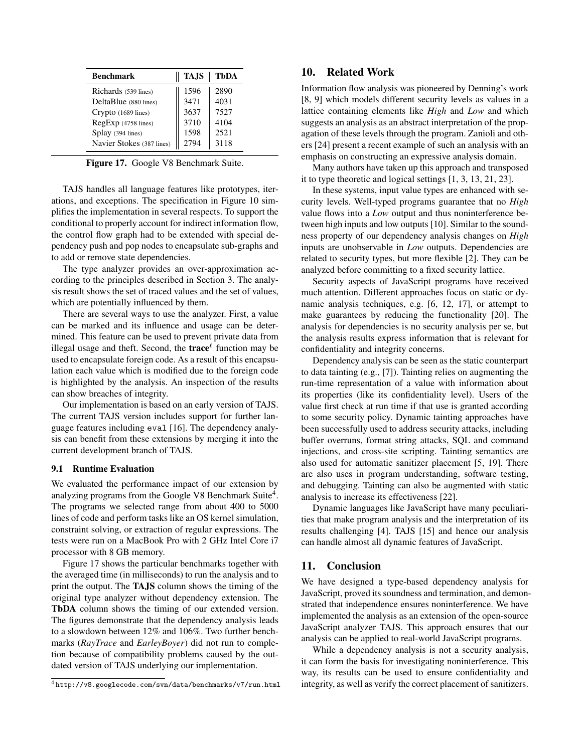| <b>Benchmark</b>          | <b>TAJS</b> | TbDA |
|---------------------------|-------------|------|
| Richards (539 lines)      | 1596        | 2890 |
| DeltaBlue (880 lines)     | 3471        | 4031 |
| Crypto (1689 lines)       | 3637        | 7527 |
| RegExp (4758 lines)       | 3710        | 4104 |
| Splay (394 lines)         | 1598        | 2521 |
| Navier Stokes (387 lines) | 2794        | 3118 |

Figure 17. Google V8 Benchmark Suite.

TAJS handles all language features like prototypes, iterations, and exceptions. The specification in Figure 10 simplifies the implementation in several respects. To support the conditional to properly account for indirect information flow, the control flow graph had to be extended with special dependency push and pop nodes to encapsulate sub-graphs and to add or remove state dependencies.

The type analyzer provides an over-approximation according to the principles described in Section 3. The analysis result shows the set of traced values and the set of values, which are potentially influenced by them.

There are several ways to use the analyzer. First, a value can be marked and its influence and usage can be determined. This feature can be used to prevent private data from illegal usage and theft. Second, the  $\mathbf{trace}^{\ell}$  function may be used to encapsulate foreign code. As a result of this encapsulation each value which is modified due to the foreign code is highlighted by the analysis. An inspection of the results can show breaches of integrity.

Our implementation is based on an early version of TAJS. The current TAJS version includes support for further language features including eval [16]. The dependency analysis can benefit from these extensions by merging it into the current development branch of TAJS.

# 9.1 Runtime Evaluation

We evaluated the performance impact of our extension by analyzing programs from the Google V8 Benchmark Suite<sup>4</sup>. The programs we selected range from about 400 to 5000 lines of code and perform tasks like an OS kernel simulation, constraint solving, or extraction of regular expressions. The tests were run on a MacBook Pro with 2 GHz Intel Core i7 processor with 8 GB memory.

Figure 17 shows the particular benchmarks together with the averaged time (in milliseconds) to run the analysis and to print the output. The TAJS column shows the timing of the original type analyzer without dependency extension. The TbDA column shows the timing of our extended version. The figures demonstrate that the dependency analysis leads to a slowdown between 12% and 106%. Two further benchmarks (*RayTrace* and *EarleyBoyer*) did not run to completion because of compatibility problems caused by the outdated version of TAJS underlying our implementation.

# 10. Related Work

Information flow analysis was pioneered by Denning's work [8, 9] which models different security levels as values in a lattice containing elements like *High* and *Low* and which suggests an analysis as an abstract interpretation of the propagation of these levels through the program. Zanioli and others [24] present a recent example of such an analysis with an emphasis on constructing an expressive analysis domain.

Many authors have taken up this approach and transposed it to type theoretic and logical settings [1, 3, 13, 21, 23].

In these systems, input value types are enhanced with security levels. Well-typed programs guarantee that no *High* value flows into a *Low* output and thus noninterference between high inputs and low outputs [10]. Similar to the soundness property of our dependency analysis changes on *High* inputs are unobservable in *Low* outputs. Dependencies are related to security types, but more flexible [2]. They can be analyzed before committing to a fixed security lattice.

Security aspects of JavaScript programs have received much attention. Different approaches focus on static or dynamic analysis techniques, e.g. [6, 12, 17], or attempt to make guarantees by reducing the functionality [20]. The analysis for dependencies is no security analysis per se, but the analysis results express information that is relevant for confidentiality and integrity concerns.

Dependency analysis can be seen as the static counterpart to data tainting (e.g., [7]). Tainting relies on augmenting the run-time representation of a value with information about its properties (like its confidentiality level). Users of the value first check at run time if that use is granted according to some security policy. Dynamic tainting approaches have been successfully used to address security attacks, including buffer overruns, format string attacks, SQL and command injections, and cross-site scripting. Tainting semantics are also used for automatic sanitizer placement [5, 19]. There are also uses in program understanding, software testing, and debugging. Tainting can also be augmented with static analysis to increase its effectiveness [22].

Dynamic languages like JavaScript have many peculiarities that make program analysis and the interpretation of its results challenging [4]. TAJS [15] and hence our analysis can handle almost all dynamic features of JavaScript.

#### 11. Conclusion

We have designed a type-based dependency analysis for JavaScript, proved its soundness and termination, and demonstrated that independence ensures noninterference. We have implemented the analysis as an extension of the open-source JavaScript analyzer TAJS. This approach ensures that our analysis can be applied to real-world JavaScript programs.

While a dependency analysis is not a security analysis, it can form the basis for investigating noninterference. This way, its results can be used to ensure confidentiality and integrity, as well as verify the correct placement of sanitizers.

<sup>4</sup> http://v8.googlecode.com/svn/data/benchmarks/v7/run.html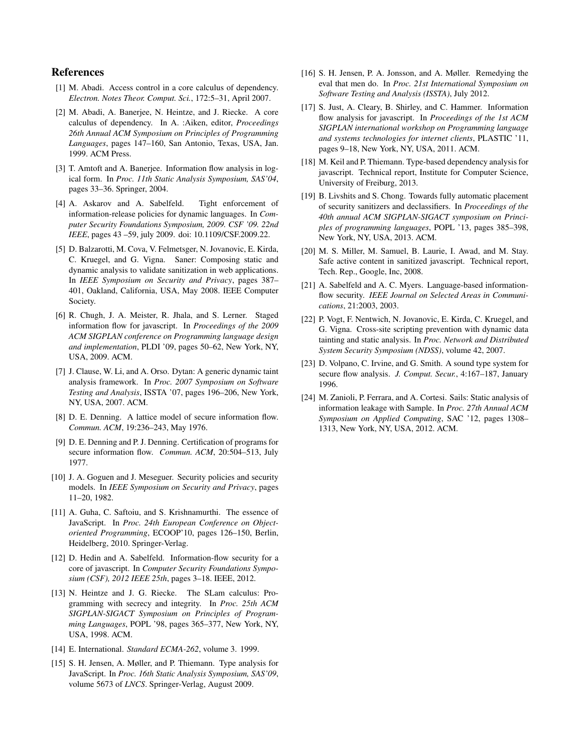# References

- [1] M. Abadi. Access control in a core calculus of dependency. *Electron. Notes Theor. Comput. Sci.*, 172:5–31, April 2007.
- [2] M. Abadi, A. Banerjee, N. Heintze, and J. Riecke. A core calculus of dependency. In A. :Aiken, editor, *Proceedings 26th Annual ACM Symposium on Principles of Programming Languages*, pages 147–160, San Antonio, Texas, USA, Jan. 1999. ACM Press.
- [3] T. Amtoft and A. Banerjee. Information flow analysis in logical form. In *Proc. 11th Static Analysis Symposium, SAS'04*, pages 33–36. Springer, 2004.
- [4] A. Askarov and A. Sabelfeld. Tight enforcement of information-release policies for dynamic languages. In *Computer Security Foundations Symposium, 2009. CSF '09. 22nd IEEE*, pages 43 –59, july 2009. doi: 10.1109/CSF.2009.22.
- [5] D. Balzarotti, M. Cova, V. Felmetsger, N. Jovanovic, E. Kirda, C. Kruegel, and G. Vigna. Saner: Composing static and dynamic analysis to validate sanitization in web applications. In *IEEE Symposium on Security and Privacy*, pages 387– 401, Oakland, California, USA, May 2008. IEEE Computer Society.
- [6] R. Chugh, J. A. Meister, R. Jhala, and S. Lerner. Staged information flow for javascript. In *Proceedings of the 2009 ACM SIGPLAN conference on Programming language design and implementation*, PLDI '09, pages 50–62, New York, NY, USA, 2009. ACM.
- [7] J. Clause, W. Li, and A. Orso. Dytan: A generic dynamic taint analysis framework. In *Proc. 2007 Symposium on Software Testing and Analysis*, ISSTA '07, pages 196–206, New York, NY, USA, 2007. ACM.
- [8] D. E. Denning. A lattice model of secure information flow. *Commun. ACM*, 19:236–243, May 1976.
- [9] D. E. Denning and P. J. Denning. Certification of programs for secure information flow. *Commun. ACM*, 20:504–513, July 1977.
- [10] J. A. Goguen and J. Meseguer. Security policies and security models. In *IEEE Symposium on Security and Privacy*, pages 11–20, 1982.
- [11] A. Guha, C. Saftoiu, and S. Krishnamurthi. The essence of JavaScript. In *Proc. 24th European Conference on Objectoriented Programming*, ECOOP'10, pages 126–150, Berlin, Heidelberg, 2010. Springer-Verlag.
- [12] D. Hedin and A. Sabelfeld. Information-flow security for a core of javascript. In *Computer Security Foundations Symposium (CSF), 2012 IEEE 25th*, pages 3–18. IEEE, 2012.
- [13] N. Heintze and J. G. Riecke. The SLam calculus: Programming with secrecy and integrity. In *Proc. 25th ACM SIGPLAN-SIGACT Symposium on Principles of Programming Languages*, POPL '98, pages 365–377, New York, NY, USA, 1998. ACM.
- [14] E. International. *Standard ECMA-262*, volume 3. 1999.
- [15] S. H. Jensen, A. Møller, and P. Thiemann. Type analysis for JavaScript. In *Proc. 16th Static Analysis Symposium, SAS'09*, volume 5673 of *LNCS*. Springer-Verlag, August 2009.
- [16] S. H. Jensen, P. A. Jonsson, and A. Møller. Remedying the eval that men do. In *Proc. 21st International Symposium on Software Testing and Analysis (ISSTA)*, July 2012.
- [17] S. Just, A. Cleary, B. Shirley, and C. Hammer. Information flow analysis for javascript. In *Proceedings of the 1st ACM SIGPLAN international workshop on Programming language and systems technologies for internet clients*, PLASTIC '11, pages 9–18, New York, NY, USA, 2011. ACM.
- [18] M. Keil and P. Thiemann. Type-based dependency analysis for javascript. Technical report, Institute for Computer Science, University of Freiburg, 2013.
- [19] B. Livshits and S. Chong. Towards fully automatic placement of security sanitizers and declassifiers. In *Proceedings of the 40th annual ACM SIGPLAN-SIGACT symposium on Principles of programming languages*, POPL '13, pages 385–398, New York, NY, USA, 2013. ACM.
- [20] M. S. Miller, M. Samuel, B. Laurie, I. Awad, and M. Stay. Safe active content in sanitized javascript. Technical report, Tech. Rep., Google, Inc, 2008.
- [21] A. Sabelfeld and A. C. Myers. Language-based informationflow security. *IEEE Journal on Selected Areas in Communications*, 21:2003, 2003.
- [22] P. Vogt, F. Nentwich, N. Jovanovic, E. Kirda, C. Kruegel, and G. Vigna. Cross-site scripting prevention with dynamic data tainting and static analysis. In *Proc. Network and Distributed System Security Symposium (NDSS)*, volume 42, 2007.
- [23] D. Volpano, C. Irvine, and G. Smith. A sound type system for secure flow analysis. *J. Comput. Secur.*, 4:167–187, January 1996.
- [24] M. Zanioli, P. Ferrara, and A. Cortesi. Sails: Static analysis of information leakage with Sample. In *Proc. 27th Annual ACM Symposium on Applied Computing*, SAC '12, pages 1308– 1313, New York, NY, USA, 2012. ACM.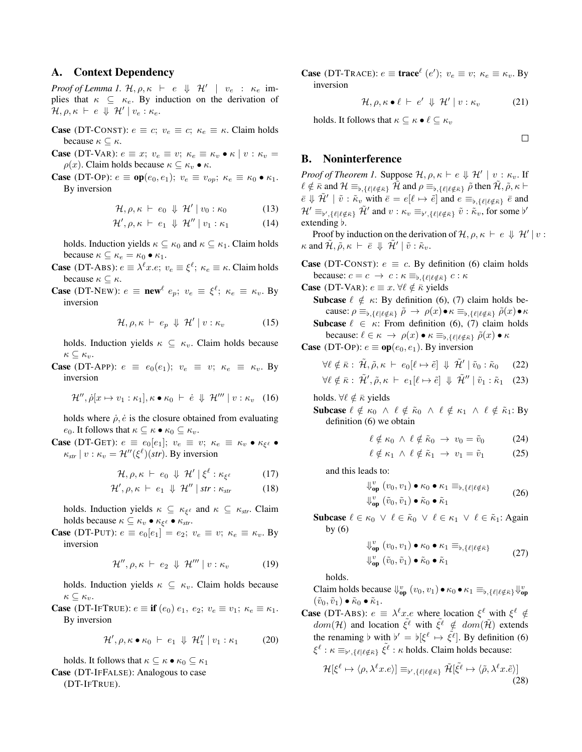# A. Context Dependency

*Proof of Lemma 1.*  $H, \rho, \kappa \vdash e \Downarrow H' \mid v_e : \kappa_e$  implies that  $\kappa \subseteq \kappa_e$ . By induction on the derivation of  $\mathcal{H}, \rho, \kappa \ \vdash \ e \ \Downarrow \ \mathcal{H}' \ | \ v_e : \kappa_e.$ 

**Case** (DT-CONST):  $e \equiv c$ ;  $v_e \equiv c$ ;  $\kappa_e \equiv \kappa$ . Claim holds because  $\kappa \subseteq \kappa$ .

**Case** (DT-VAR):  $e \equiv x$ ;  $v_e \equiv v$ ;  $\kappa_e \equiv \kappa_v \bullet \kappa \mid v : \kappa_v =$  $\rho(x)$ . Claim holds because  $\kappa \subseteq \kappa_v \bullet \kappa$ .

**Case** (DT-OP):  $e \equiv \mathbf{op}(e_0, e_1); v_e \equiv v_{op}; \ \kappa_e \equiv \kappa_0 \bullet \kappa_1.$ By inversion

$$
\mathcal{H}, \rho, \kappa \vdash e_0 \Downarrow \mathcal{H}' \mid v_0 : \kappa_0 \tag{13}
$$

$$
\mathcal{H}', \rho, \kappa \vdash e_1 \Downarrow \mathcal{H}'' \mid v_1 : \kappa_1 \tag{14}
$$

holds. Induction yields  $\kappa \subseteq \kappa_0$  and  $\kappa \subseteq \kappa_1$ . Claim holds because  $\kappa \subseteq \kappa_e = \kappa_0 \bullet \kappa_1$ .

- **Case** (DT-ABS):  $e \equiv \lambda^{\ell} x.e; v_e \equiv \xi^{\ell}; \ \kappa_e \equiv \kappa$ . Claim holds because  $\kappa \subseteq \kappa$ .
- **Case** (DT-NEW):  $e \equiv \textbf{new}^{\ell} e_p$ ;  $v_e \equiv \xi^{\ell}$ ;  $\kappa_e \equiv \kappa_v$ . By inversion

$$
\mathcal{H}, \rho, \kappa \vdash e_p \Downarrow \mathcal{H}' \mid v : \kappa_v \tag{15}
$$

holds. Induction yields  $\kappa \subseteq \kappa_v$ . Claim holds because  $\kappa \subseteq \kappa_v$ .

**Case** (DT-APP):  $e \equiv e_0(e_1); v_e \equiv v; \kappa_e \equiv \kappa_v$ . By inversion

$$
\mathcal{H}'', \dot{\rho}[x \mapsto v_1 : \kappa_1], \kappa \bullet \kappa_0 \vdash \dot{e} \Downarrow \mathcal{H}''' \mid v : \kappa_v \quad (16)
$$

holds where  $\dot{\rho}$ ,  $\dot{e}$  is the closure obtained from evaluating  $e_0$ . It follows that  $\kappa \subseteq \kappa \bullet \kappa_0 \subseteq \kappa_v$ .

**Case** (DT-GET):  $e \equiv e_0[e_1]; v_e \equiv v; \kappa_e \equiv \kappa_v \bullet \kappa_{\xi^{\ell}} \bullet$  $\kappa_{str} | v : \kappa_v = \mathcal{H}''(\xi^{\ell})(str)$ . By inversion

$$
\mathcal{H}, \rho, \kappa \vdash e_0 \Downarrow \mathcal{H}' \mid \xi^{\ell} : \kappa_{\xi^{\ell}} \tag{17}
$$

$$
\mathcal{H}', \rho, \kappa \vdash e_1 \Downarrow \mathcal{H}'' \mid str : \kappa_{str} \tag{18}
$$

holds. Induction yields  $\kappa \subseteq \kappa_{\xi^{\ell}}$  and  $\kappa \subseteq \kappa_{str}$ . Claim holds because  $\kappa \subseteq \kappa_v \bullet \kappa_{\xi^{\ell}} \bullet \kappa_{str}$ .

**Case** (DT-PUT):  $e \equiv e_0[e_1] = e_2$ ;  $v_e \equiv v$ ;  $\kappa_e \equiv \kappa_v$ . By inversion

$$
\mathcal{H}'', \rho, \kappa \vdash e_2 \Downarrow \mathcal{H}''' \mid v : \kappa_v \tag{19}
$$

holds. Induction yields  $\kappa \subseteq \kappa_v$ . Claim holds because  $\kappa \subseteq \kappa_v$ .

**Case** (DT-IFTRUE):  $e \equiv \mathbf{if}(e_0) e_1, e_2; v_e \equiv v_1; \ \kappa_e \equiv \kappa_1.$ By inversion

$$
\mathcal{H}', \rho, \kappa \bullet \kappa_0 \vdash e_1 \Downarrow \mathcal{H}_1'' \mid v_1 : \kappa_1 \qquad (20)
$$

holds. It follows that  $\kappa \subseteq \kappa \bullet \kappa_0 \subseteq \kappa_1$ Case (DT-IFFALSE): Analogous to case (DT-IFTRUE).

**Case** (DT-TRACE):  $e \equiv \textbf{trace}^{\ell} (e')$ ;  $v_e \equiv v$ ;  $\kappa_e \equiv \kappa_v$ . By inversion

$$
\mathcal{H}, \rho, \kappa \bullet \ell \vdash e' \Downarrow \mathcal{H}' \mid v : \kappa_v \tag{21}
$$

holds. It follows that  $\kappa \subseteq \kappa \bullet \ell \subseteq \kappa_v$ 

 $\Box$ 

# B. Noninterference

*Proof of Theorem 1.* Suppose  $\mathcal{H}, \rho, \kappa \vdash e \Downarrow \mathcal{H}' \mid v : \kappa_v$ . If  $\ell \notin \bar{\kappa}$  and  $\mathcal{H} \equiv_{\flat, \{\ell | \ell \notin \bar{\kappa}\}} \mathcal{H}$  and  $\rho \equiv_{\flat, \{\ell | \ell \notin \bar{\kappa}\}} \tilde{\rho}$  then  $\mathcal{H}, \tilde{\rho}, \kappa \vdash$  $\overline{e} \Downarrow \tilde{\mathcal{H}}' \mid \tilde{v} : \tilde{\kappa}_v \text{ with } \overline{e} = e[\ell \mapsto \tilde{e}] \text{ and } e \equiv_{\flat, \{\ell | \ell \notin \overline{\kappa}\}} \overline{e} \text{ and }$  $\mathcal{H}' \equiv_{\flat',\{\ell|\ell \notin \bar{\kappa}\}} \tilde{\mathcal{H}}'$  and  $v : \kappa_v \equiv_{\flat',\{\ell|\ell \notin \bar{\kappa}\}} \tilde{v} : \tilde{\kappa}_v$ , for some  $\flat'$ extending ♭.

Proof by induction on the derivation of  $\mathcal{H}, \rho, \kappa \vdash e \Downarrow \mathcal{H}' | v$ :  $\kappa$  and  $\mathcal{\tilde{H}}, \tilde{\rho}, \kappa \;\vdash\; \bar{e} \; \Downarrow\; \mathcal{\tilde{H}}'\;|\; \tilde{v}:\tilde{\kappa}_v.$ 

**Case** (DT-CONST):  $e \equiv c$ . By definition (6) claim holds because:  $c = c \rightarrow c : \kappa \equiv_{b,\{\ell | \ell \notin \bar{\kappa}\}} c : \kappa$ 

**Case** (DT-VAR):  $e \equiv x$ .  $\forall \ell \notin \overline{\kappa}$  yields

**Subcase**  $\ell \notin \kappa$ : By definition (6), (7) claim holds because:  $\rho \equiv_{\flat, \{ \ell | \ell \notin \bar{\kappa} \}} \tilde{\rho} \to \rho(x) \bullet \kappa \equiv_{\flat, \{ \ell | \ell \notin \bar{\kappa} \}} \tilde{\rho}(x) \bullet \kappa$ **Subcase**  $\ell \in \kappa$ : From definition (6), (7) claim holds because:  $\ell \in \kappa \to \rho(x) \bullet \kappa \equiv_{b,\{\ell | \ell \notin \bar{\kappa}\}} \tilde{\rho}(x) \bullet \kappa$ 

**Case** (DT-OP):  $e \equiv \text{op}(e_0, e_1)$ . By inversion

$$
\forall \ell \notin \bar{\kappa}: \tilde{\mathcal{H}}, \tilde{\rho}, \kappa \vdash e_0[\ell \mapsto \tilde{e}] \Downarrow \tilde{\mathcal{H}}' \mid \tilde{v}_0: \tilde{\kappa}_0 \quad (22)
$$

$$
\forall \ell \notin \bar{\kappa}: \tilde{\mathcal{H}}', \tilde{\rho}, \kappa \vdash e_1[\ell \mapsto \tilde{e}] \Downarrow \tilde{\mathcal{H}}'' \mid \tilde{v}_1 : \tilde{\kappa}_1 \quad (23)
$$

holds.  $\forall \ell \notin \overline{\kappa}$  yields

Subcase  $\ell \notin \kappa_0 \land \ell \notin \tilde{\kappa}_0 \land \ell \notin \kappa_1 \land \ell \notin \tilde{\kappa}_1$ : By definition (6) we obtain

$$
\ell \notin \kappa_0 \ \land \ \ell \notin \tilde{\kappa}_0 \ \to \ v_0 = \tilde{v}_0 \tag{24}
$$

$$
\ell \notin \kappa_1 \ \land \ \ell \notin \tilde{\kappa}_1 \ \to \ v_1 = \tilde{v}_1 \tag{25}
$$

and this leads to:

$$
\Downarrow_{\mathbf{op}}^v (v_0, v_1) \bullet \kappa_0 \bullet \kappa_1 \equiv_{\flat, \{\ell | \ell \notin \bar{\kappa}\}} \qquad (26)
$$
  

$$
\Downarrow_{\mathbf{op}}^v (\tilde{v}_0, \tilde{v}_1) \bullet \tilde{\kappa}_0 \bullet \tilde{\kappa}_1
$$

Subcase  $\ell \in \kappa_0 \lor \ell \in \tilde{\kappa}_0 \lor \ell \in \kappa_1 \lor \ell \in \tilde{\kappa}_1$ : Again by  $(6)$ 

$$
\Downarrow_{\mathbf{op}}^v (v_0, v_1) \bullet \kappa_0 \bullet \kappa_1 \equiv_{\flat, \{\ell | \ell \notin \bar{\kappa}\}} \qquad (27)
$$
  

$$
\Downarrow_{\mathbf{op}}^v (\tilde{v}_0, \tilde{v}_1) \bullet \tilde{\kappa}_0 \bullet \tilde{\kappa}_1
$$

holds.

Claim holds because  $\Downarrow_{\text{op}}^v (v_0, v_1) \bullet \kappa_0 \bullet \kappa_1 \equiv_{\flat, \{\ell | \ell \notin \bar{\kappa}\}} \Downarrow_{\text{op}}^v$  $(\tilde{v}_0, \tilde{v}_1) \bullet \tilde{\kappa}_0 \bullet \tilde{\kappa}_1.$ 

**Case** (DT-ABS):  $e \equiv \lambda^{\ell} x.e$  where location  $\xi^{\ell}$  with  $\xi^{\ell} \notin \xi$  $dom(\mathcal{H})$  and location  $\tilde{\xi}^{\ell}$  with  $\tilde{\xi}^{\ell} \notin dom(\tilde{\mathcal{H}})$  extends the renaming  $\flat$  with  $\flat' = \flat[\xi^{\ell} \mapsto \tilde{\xi}^{\ell}]$ . By definition (6)  $\xi^{\ell}$ :  $\kappa \equiv_{\nu',\{\ell | \ell \notin \bar{\kappa}\}} \tilde{\xi}^{\ell}$ :  $\kappa$  holds. Claim holds because:

$$
\mathcal{H}[\xi^{\ell} \mapsto \langle \rho, \lambda^{\ell} x. e \rangle] \equiv_{\flat', \{\ell | \ell \notin \bar{\kappa}\}} \tilde{\mathcal{H}}[\tilde{\xi}^{\ell} \mapsto \langle \tilde{\rho}, \lambda^{\ell} x. \tilde{e} \rangle] \tag{28}
$$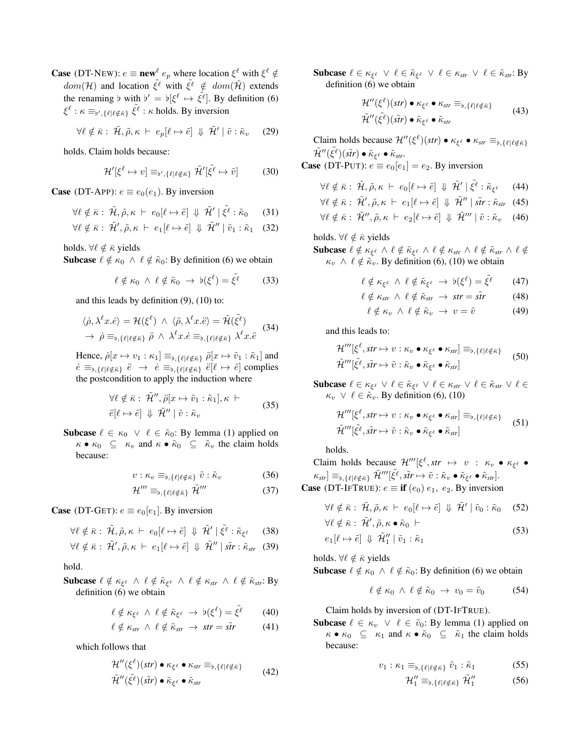**Case** (DT-NEW):  $e \equiv \text{new}^{\ell} e_p$  where location  $\xi^{\ell}$  with  $\xi^{\ell} \notin \mathcal{L}$  $dom(\mathcal{H})$  and location  $\tilde{\xi}^{\ell}$  with  $\tilde{\xi}^{\ell} \notin dom(\tilde{\mathcal{H}})$  extends the renaming  $\flat$  with  $\natural' = \flat[\xi^{\ell} \mapsto \tilde{\xi}^{\ell}]$ . By definition (6)  $\xi^{\ell}$ :  $\kappa \equiv_{\nu',\{\ell | \ell \notin \bar{\kappa}\}} \tilde{\xi}^{\ell}$ :  $\kappa$  holds. By inversion

$$
\forall \ell \notin \bar{\kappa}: \tilde{\mathcal{H}}, \tilde{\rho}, \kappa \vdash e_p[\ell \mapsto \tilde{e}] \Downarrow \tilde{\mathcal{H}}' \mid \tilde{v}: \tilde{\kappa}_v \quad (29)
$$

holds. Claim holds because:

$$
\mathcal{H}'[\xi^{\ell} \mapsto v] \equiv_{\flat', \{\ell | \ell \notin \bar{\kappa}\}} \tilde{\mathcal{H}}'[\tilde{\xi^{\ell}} \mapsto \tilde{v}] \tag{30}
$$

**Case** (DT-APP):  $e \equiv e_0(e_1)$ . By inversion

$$
\forall \ell \notin \bar{\kappa}: \tilde{\mathcal{H}}, \tilde{\rho}, \kappa \vdash e_0[\ell \mapsto \tilde{e}] \Downarrow \tilde{\mathcal{H}}' \mid \tilde{\xi}^{\ell} : \tilde{\kappa}_0 \quad (31)
$$

$$
\forall \ell \notin \bar{\kappa}: \tilde{\mathcal{H}}', \tilde{\rho}, \kappa \vdash e_1[\ell \mapsto \tilde{e}] \Downarrow \tilde{\mathcal{H}}'' \mid \tilde{v}_1 : \tilde{\kappa}_1 \quad (32)
$$

holds.  $\forall \ell \notin \bar{\kappa}$  yields

**Subcase**  $\ell \notin \kappa_0 \land \ell \notin \tilde{\kappa}_0$ : By definition (6) we obtain

$$
\ell \notin \kappa_0 \ \land \ \ell \notin \tilde{\kappa}_0 \ \to \ b(\xi^{\ell}) = \tilde{\xi}^{\ell} \tag{33}
$$

and this leads by definition (9), (10) to:

$$
\langle \dot{\rho}, \lambda^{\ell} x. \dot{e} \rangle = \mathcal{H}(\xi^{\ell}) \wedge \langle \ddot{\rho}, \lambda^{\ell} x. \ddot{e} \rangle = \tilde{\mathcal{H}}(\tilde{\xi}^{\ell})
$$
  
 
$$
\rightarrow \dot{\rho} \equiv_{b, \{\ell | \ell \notin \bar{\kappa}\}} \ddot{\rho} \wedge \lambda^{\ell} x. \dot{e} \equiv_{b, \{\ell | \ell \notin \bar{\kappa}\}} \lambda^{\ell} x. \ddot{e}
$$
 (34)

Hence,  $\dot{\rho}[x \mapsto v_1 : \kappa_1] \equiv_{\dot{b}, {\{\ell \mid \ell \notin \bar{\kappa}\}}} \ddot{\rho}[x \mapsto \tilde{v}_1 : \tilde{\kappa}_1]$  and  $\dot{e} \equiv_{\flat, \{\ell | \ell \notin \bar{\kappa}\}} \ddot{e} \rightarrow \dot{e} \equiv_{\flat, \{\ell | \ell \notin \bar{\kappa}\}} \ddot{e}[\ell \mapsto \tilde{e}]$  complies the postcondition to apply the induction where

$$
\forall \ell \notin \bar{\kappa}: \tilde{\mathcal{H}}'', \tilde{\rho}[x \mapsto \tilde{v}_1 : \tilde{\kappa}_1], \kappa \vdash \tilde{e}[\ell \mapsto \tilde{e}] \Downarrow \tilde{\mathcal{H}}'' \mid \tilde{v} : \tilde{\kappa}_v \tag{35}
$$

**Subcase**  $\ell \in \kappa_0 \lor \ell \in \tilde{\kappa}_0$ : By lemma (1) applied on  $\kappa \bullet \kappa_0 \subseteq \kappa_v$  and  $\kappa \bullet \tilde{\kappa}_0 \subseteq \tilde{\kappa}_v$  the claim holds because:

$$
v: \kappa_v \equiv_{\flat, \{\ell | \ell \notin \bar{\kappa}\}} \tilde{v}: \tilde{\kappa}_v \tag{36}
$$

$$
\mathcal{H}''' \equiv_{\flat, \{\ell | \ell \notin \bar{\kappa}\}} \tilde{\mathcal{H}}''' \tag{37}
$$

**Case** (DT-GET):  $e \equiv e_0[e_1]$ . By inversion

$$
\forall \ell \notin \bar{\kappa}: \tilde{\mathcal{H}}, \tilde{\rho}, \kappa \vdash e_0[\ell \mapsto \tilde{e}] \Downarrow \tilde{\mathcal{H}}' \mid \tilde{\xi}^{\tilde{\ell}} : \tilde{\kappa}_{\xi^{\tilde{\ell}}} \tag{38}
$$

$$
\forall \ell \notin \bar{\kappa}: \tilde{\mathcal{H}}', \tilde{\rho}, \kappa \vdash e_1[\ell \mapsto \tilde{e}] \Downarrow \tilde{\mathcal{H}}'' \mid s\tilde{t}r : \tilde{\kappa}_{str} \quad (39)
$$

hold.

 $\textbf{Subcase} \ell \notin \kappa_{\xi^{\ell}} \ \wedge \ \ell \notin \tilde{\kappa}_{\xi^{\ell}} \ \wedge \ \ell \notin \kappa_{str} \ \wedge \ \ell \notin \tilde{\kappa}_{str}: \text{By}$ definition (6) we obtain

$$
\ell \notin \kappa_{\xi^{\ell}} \ \wedge \ \ell \notin \tilde{\kappa}_{\xi^{\ell}} \ \rightarrow \ b(\xi^{\ell}) = \tilde{\xi}^{\ell} \tag{40}
$$

$$
\ell \notin \kappa_{str} \wedge \ell \notin \tilde{\kappa}_{str} \rightarrow str = s\tilde{t}r \qquad (41)
$$

which follows that

$$
\mathcal{H}''(\xi^{\ell})(str) \bullet \kappa_{\xi^{\ell}} \bullet \kappa_{str} \equiv_{b,\{\ell | \ell \notin \bar{\kappa}\}} \qquad (42)
$$
\n
$$
\tilde{\mathcal{H}}''(\tilde{\xi}^{\ell})(\tilde{str}) \bullet \tilde{\kappa}_{\xi^{\ell}} \bullet \tilde{\kappa}_{str}
$$

**Subcase**  $\ell \in \kappa_{\xi^{\ell}} \lor \ell \in \tilde{\kappa}_{\xi^{\ell}} \lor \ell \in \kappa_{str} \lor \ell \in \tilde{\kappa}_{str}$ : By definition  $(6)$  we obtain

$$
\mathcal{H}''(\xi^{\ell})(str) \bullet \kappa_{\xi^{\ell}} \bullet \kappa_{str} \equiv_{\flat, \{\ell | \ell \notin \bar{\kappa}\}} \qquad (43)
$$
\n
$$
\tilde{\mathcal{H}}''(\tilde{\xi}^{\ell})(\tilde{str}) \bullet \tilde{\kappa}_{\xi^{\ell}} \bullet \tilde{\kappa}_{str}
$$

Claim holds because  $\mathcal{H}''(\xi^{\ell})(str) \bullet \kappa_{\xi^{\ell}} \bullet \kappa_{str} \equiv_{\flat, \{\ell | \ell \notin \bar{\kappa}\}}$  $\tilde{\mathcal{H}}''(\tilde{\xi^\ell})(\tilde{str})\bullet \tilde{\kappa}_{\xi^\ell}\bullet \tilde{\kappa}_{str}.$ **Case** (DT-PUT):  $e \equiv e_0[e_1] = e_2$ . By inversion

$$
\forall \ell \notin \bar{\kappa}: \ \tilde{\mathcal{H}}, \tilde{\rho}, \kappa \vdash e_0[\ell \mapsto \tilde{e}] \ \Downarrow \ \tilde{\mathcal{H}}' \mid \tilde{\xi}^{\ell} : \tilde{\kappa}_{\xi^{\ell}} \tag{44}
$$

$$
\forall \ell \notin \bar{\kappa}: \tilde{\mathcal{H}}', \tilde{\rho}, \kappa \vdash e_1[\ell \mapsto \tilde{e}] \Downarrow \tilde{\mathcal{H}}'' \mid s\tilde{t}r : \tilde{\kappa}_{str} \quad (45)
$$

$$
\forall \ell \notin \bar{\kappa}: \ \tilde{\mathcal{H}}'', \tilde{\rho}, \kappa \vdash e_2[\ell \mapsto \tilde{e}] \ \Downarrow \ \tilde{\mathcal{H}}''' \ | \ \tilde{v}: \tilde{\kappa}_v \quad (46)
$$

### holds.  $\forall \ell \notin \bar{\kappa}$  yields

 $\textbf{Subcase} \,\,\ell \notin \kappa_{\xi^{\ell}} \,\wedge \,\ell \notin \tilde{\kappa}_{\xi^{\ell}} \,\wedge \,\ell \notin \kappa_{str} \,\wedge \,\ell \notin \tilde{\kappa}_{str} \,\wedge \,\ell \notin \mathcal{E}_{\xi^{\ell}}$  $\kappa_v \wedge \ell \notin \tilde{\kappa}_v$ . By definition (6), (10) we obtain

$$
\ell \notin \kappa_{\xi^{\ell}} \ \wedge \ \ell \notin \tilde{\kappa}_{\xi^{\ell}} \ \rightarrow \ b(\xi^{\ell}) = \tilde{\xi^{\ell}} \qquad (47)
$$

$$
\ell \notin \kappa_{str} \wedge \ell \notin \tilde{\kappa}_{str} \rightarrow str = s\tilde{t}r \qquad (48)
$$

$$
\ell \notin \kappa_v \ \land \ \ell \notin \tilde{\kappa}_v \ \to \ v = \tilde{v} \tag{49}
$$

and this leads to:

$$
\mathcal{H}'''[\xi^{\ell}, str \mapsto v : \kappa_v \bullet \kappa_{\xi^{\ell}} \bullet \kappa_{str}] \equiv_{\flat, \{\ell | \ell \notin \bar{\kappa}\}} \quad (50)
$$
  

$$
\tilde{\mathcal{H}}'''[\tilde{\xi}^{\ell}, s\tilde{t}r \mapsto \tilde{v} : \tilde{\kappa}_v \bullet \tilde{\kappa}_{\xi^{\ell}} \bullet \tilde{\kappa}_{str}]
$$

**Subcase**  $\ell \in \kappa_{\xi^{\ell}} \lor \ell \in \tilde{\kappa}_{\xi^{\ell}} \lor \ell \in \kappa_{str} \lor \ell \in \tilde{\kappa}_{str} \lor \ell \in$  $\kappa_v \lor \ell \in \tilde{\kappa}_v$ . By definition (6), (10)

$$
\mathcal{H}'''[\xi^{\ell}, str \mapsto v : \kappa_v \bullet \kappa_{\xi^{\ell}} \bullet \kappa_{str}] \equiv_{\flat, \{\ell | \ell \notin \bar{\kappa}\}} \quad (51)
$$
  

$$
\tilde{\mathcal{H}}'''[\tilde{\xi}^{\ell}, s\tilde{t}r \mapsto \tilde{v} : \tilde{\kappa}_v \bullet \tilde{\kappa}_{\xi^{\ell}} \bullet \tilde{\kappa}_{str}]
$$

holds.

Claim holds because  $\mathcal{H}'''[\xi^{\ell}, str \mapsto v : \kappa_v \bullet \kappa_{\xi^{\ell}} \bullet$  $\kappa_{str}]\equiv_{\flat,\{\ell|\ell \notin \bar{\kappa}\}}\tilde{\mathcal{H}}'''[\tilde{\xi^\ell},\tilde{sir}\mapsto \tilde{v}: \tilde{\kappa}_v\bullet \tilde{\kappa}_{\xi^\ell}\bullet \tilde{\kappa}_{str}].$ **Case** (DT-IFTRUE):  $e \equiv \textbf{if}(e_0) e_1, e_2$ . By inversion

$$
\forall \ell \notin \bar{\kappa}: \tilde{\mathcal{H}}, \tilde{\rho}, \kappa \vdash e_0[\ell \mapsto \tilde{e}] \Downarrow \tilde{\mathcal{H}}' \mid \tilde{v}_0 : \tilde{\kappa}_0 \quad (52)
$$

$$
\forall \ell \notin \bar{\kappa}: \tilde{\mathcal{H}}', \tilde{\rho}, \kappa \bullet \tilde{\kappa}_0 \vdash
$$
\n
$$
\tag{52}
$$

$$
e_1[\ell \mapsto \tilde{e}] \Downarrow \tilde{\mathcal{H}}_1'' \mid \tilde{v}_1 : \tilde{\kappa}_1
$$
 (53)

holds.  $\forall \ell \notin \bar{\kappa}$  yields

**Subcase**  $\ell \notin \kappa_0 \land \ell \notin \tilde{\kappa}_0$ : By definition (6) we obtain

$$
\ell \notin \kappa_0 \ \land \ \ell \notin \tilde{\kappa}_0 \ \to \ v_0 = \tilde{v}_0 \tag{54}
$$

Claim holds by inversion of (DT-IFTRUE).

**Subcase**  $\ell \in \kappa_v \lor \ell \in \tilde{v}_0$ : By lemma (1) applied on  $\kappa \bullet \kappa_0 \subseteq \kappa_1$  and  $\kappa \bullet \tilde{\kappa}_0 \subseteq \tilde{\kappa}_1$  the claim holds because:

$$
v_1: \kappa_1 \equiv_{\flat, \{\ell | \ell \notin \bar{\kappa}\}} \tilde{v}_1: \tilde{\kappa}_1 \tag{55}
$$

$$
\mathcal{H}_1'' \equiv_{\flat, \{\ell | \ell \notin \bar{\kappa}\}} \tilde{\mathcal{H}}_1'' \tag{56}
$$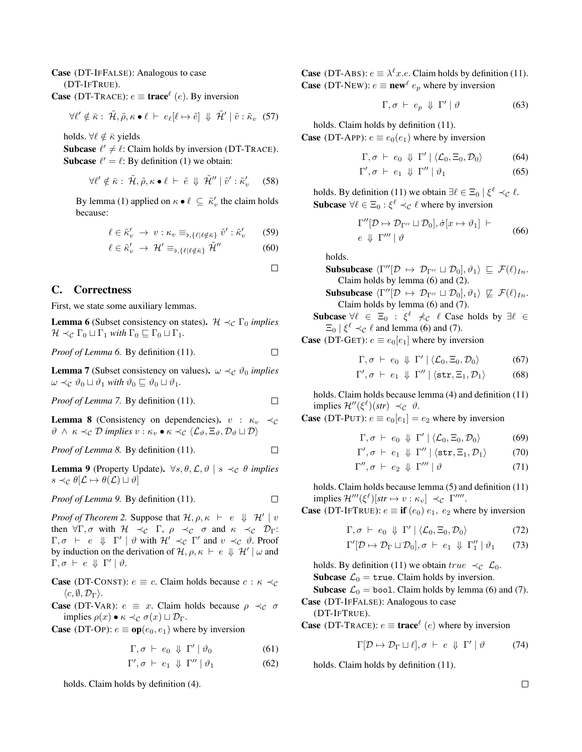Case (DT-IFFALSE): Analogous to case (DT-IFTRUE).

**Case** (DT-TRACE):  $e \equiv \textbf{trace}^{\ell}(e)$ . By inversion

$$
\forall \ell' \notin \bar{\kappa}: \tilde{\mathcal{H}}, \tilde{\rho}, \kappa \bullet \ell \vdash e_{\ell}[\ell \mapsto \tilde{e}] \Downarrow \tilde{\mathcal{H}}' \mid \tilde{v}: \tilde{\kappa}_{v} \quad (57)
$$

holds.  $\forall \ell \notin \bar{\kappa}$  yields

**Subcase**  $\ell' \neq \ell$ : Claim holds by inversion (DT-TRACE). **Subcase**  $\ell' = \ell$ : By definition (1) we obtain:

$$
\forall \ell' \notin \bar{\kappa}: \ \tilde{\mathcal{H}}, \tilde{\rho}, \kappa \bullet \ell \ \vdash \ \tilde{e} \ \Downarrow \ \tilde{\mathcal{H}}'' \ | \ \tilde{v}' : \tilde{\kappa}_v' \quad (58)
$$

By lemma (1) applied on  $\kappa \bullet \ell \subseteq \tilde{\kappa}'_v$  the claim holds because:

$$
\ell \in \tilde{\kappa}'_v \; \to \; v : \kappa_v \equiv_{b, \{\ell | \ell \notin \bar{\kappa}\}} \tilde{v}' : \tilde{\kappa}'_v \qquad (59)
$$

$$
\ell \in \tilde{\kappa}'_v \; \to \; \mathcal{H}' \equiv_{\flat, \{\ell | \ell \notin \bar{\kappa}\}} \tilde{\mathcal{H}}'' \tag{60}
$$

 $\Box$ 

 $\Box$ 

# C. Correctness

First, we state some auxiliary lemmas.

**Lemma 6** (Subset consistency on states).  $\mathcal{H} \prec_{\mathcal{C}} \Gamma_0$  *implies*  $\mathcal{H} \prec_{\mathcal{C}} \Gamma_0 \sqcup \Gamma_1$  *with*  $\Gamma_0 \sqsubseteq \Gamma_0 \sqcup \Gamma_1$ *.* 

 $\Box$ *Proof of Lemma 6.* By definition (11).

**Lemma 7** (Subset consistency on values).  $\omega \prec_c \vartheta_0$  *implies*  $\omega \prec_{\mathcal{C}} \vartheta_0 \sqcup \vartheta_1$  *with*  $\vartheta_0 \sqsubseteq \vartheta_0 \sqcup \vartheta_1$ *.* 

*Proof of Lemma 7.* By definition (11).  $\Box$ 

**Lemma 8** (Consistency on dependencies).  $v : \kappa_v \prec_c$  $\vartheta \wedge \kappa \prec_{\mathcal{C}} \mathcal{D}$  *implies*  $v : \kappa_v \bullet \kappa \prec_{\mathcal{C}} \langle \mathcal{L}_{\vartheta}, \Xi_{\vartheta}, \mathcal{D}_{\vartheta} \sqcup \mathcal{D} \rangle$ 

*Proof of Lemma 8.* By definition (11).

**Lemma 9** (Property Update).  $\forall s, \theta, \mathcal{L}, \vartheta \mid s \prec_{\mathcal{C}} \theta$  *implies*  $s \prec_{\mathcal{C}} \theta[\mathcal{L} \mapsto \theta(\mathcal{L}) \sqcup \vartheta]$ 

*Proof of Lemma 9.* By definition (11). 
$$
\Box
$$

*Proof of Theorem 2.* Suppose that  $\mathcal{H}, \rho, \kappa \vdash e \Downarrow \mathcal{H}' \mid v$ then  $\forall \Gamma, \sigma$  with  $\mathcal{H} \prec_{\mathcal{C}} \Gamma$ ,  $\rho \prec_{\mathcal{C}} \sigma$  and  $\kappa \prec_{\mathcal{C}} \mathcal{D}_{\Gamma}$ :  $\Gamma, \sigma \vdash e \Downarrow \Gamma' \mid \vartheta$  with  $\mathcal{H}' \prec_{\mathcal{C}} \Gamma'$  and  $v \prec_{\mathcal{C}} \vartheta$ . Proof by induction on the derivation of  $\mathcal{H}, \rho, \kappa \vdash e \Downarrow \mathcal{H}' \mid \omega$  and  $\Gamma, \sigma$   $\vdash$   $e \Downarrow \Gamma' \mid \vartheta$ .

**Case** (DT-CONST):  $e \equiv c$ . Claim holds because  $c : \kappa \prec_c$  $\langle c, \emptyset, \mathcal{D}_{\Gamma} \rangle$ .

**Case** (DT-VAR):  $e \equiv x$ . Claim holds because  $\rho \prec_c \sigma$ implies  $\rho(x) \bullet \kappa \prec_{\mathcal{C}} \sigma(x) \sqcup \mathcal{D}_{\Gamma}$ .

**Case** (DT-OP):  $e \equiv \text{op}(e_0, e_1)$  where by inversion

$$
\Gamma, \sigma \vdash e_0 \Downarrow \Gamma' \mid \vartheta_0 \tag{61}
$$

$$
\Gamma', \sigma \vdash e_1 \Downarrow \Gamma'' \mid \vartheta_1 \tag{62}
$$

holds. Claim holds by definition (4).

**Case** (DT-ABS):  $e \equiv \lambda^{\ell} x.e.$  Claim holds by definition (11). **Case** (DT-NEW):  $e \equiv \textbf{new}^{\ell} e_p$  where by inversion

$$
\Gamma, \sigma \vdash e_p \Downarrow \Gamma' \mid \vartheta \tag{63}
$$

holds. Claim holds by definition (11). **Case** (DT-APP):  $e \equiv e_0(e_1)$  where by inversion

$$
\Gamma, \sigma \vdash e_0 \Downarrow \Gamma' \mid \langle \mathcal{L}_0, \Xi_0, \mathcal{D}_0 \rangle \tag{64}
$$

$$
\Gamma', \sigma \vdash e_1 \Downarrow \Gamma'' \mid \vartheta_1 \tag{65}
$$

holds. By definition (11) we obtain  $\exists \ell \in \Xi_0 \mid \xi^{\ell} \prec_{\mathcal{C}} \ell$ . **Subcase**  $\forall \ell \in \Xi_0 : \xi^{\ell} \prec_{\mathcal{C}} \ell$  where by inversion

$$
\Gamma''[\mathcal{D} \mapsto \mathcal{D}_{\Gamma''} \sqcup \mathcal{D}_0], \dot{\sigma}[x \mapsto \vartheta_1] \vdash
$$
  

$$
e \Downarrow \Gamma''' \mid \vartheta
$$
 (66)

holds.

**Subsubcase**  $\langle \Gamma''[D \mapsto \mathcal{D}_{\Gamma''} \sqcup \mathcal{D}_0], \vartheta_1 \rangle \sqsubseteq \mathcal{F}(\ell)_{In}.$ Claim holds by lemma (6) and (2).

**Subsubcase**  $\langle \Gamma''[D \mapsto \mathcal{D}_{\Gamma''} \sqcup \mathcal{D}_0], \vartheta_1 \rangle \nsubseteq \mathcal{F}(\ell)_{In}.$ Claim holds by lemma (6) and (7).

**Subcase**  $\forall \ell \in \Xi_0 : \xi^{\ell} \nsim \ell \text{ Case holds by } \exists \ell \in \Xi$  $\Xi_0$  |  $\xi^{\ell} \prec_{\mathcal{C}} \ell$  and lemma (6) and (7).

**Case** (DT-GET):  $e \equiv e_0[e_1]$  where by inversion

$$
\Gamma, \sigma \vdash e_0 \Downarrow \Gamma' \mid \langle \mathcal{L}_0, \Xi_0, \mathcal{D}_0 \rangle \tag{67}
$$

$$
\Gamma', \sigma \vdash e_1 \Downarrow \Gamma'' \mid \langle \text{str}, \Xi_1, \mathcal{D}_1 \rangle \tag{68}
$$

holds. Claim holds because lemma (4) and definition (11) implies  $\mathcal{H}''(\xi^{\ell})(str) \prec_{\mathcal{C}} \vartheta$ .

**Case** (DT-PUT):  $e \equiv e_0[e_1] = e_2$  where by inversion

$$
\Gamma, \sigma \vdash e_0 \Downarrow \Gamma' \mid \langle \mathcal{L}_0, \Xi_0, \mathcal{D}_0 \rangle \tag{69}
$$

$$
\Gamma', \sigma \vdash e_1 \Downarrow \Gamma'' \mid \langle \mathtt{str}, \Xi_1, \mathcal{D}_1 \rangle \tag{70}
$$

$$
\Gamma'', \sigma \vdash e_2 \Downarrow \Gamma''' \mid \vartheta \tag{71}
$$

holds. Claim holds because lemma (5) and definition (11) implies  $\mathcal{H}'''(\xi^{\ell})[str \mapsto v : \kappa_v] \prec_{\mathcal{C}} \Gamma''''$ .

**Case** (DT-IFTRUE):  $e \equiv \mathbf{if}(e_0) e_1, e_2$  where by inversion

$$
\Gamma, \sigma \vdash e_0 \Downarrow \Gamma' \mid \langle \mathcal{L}_0, \Xi_0, \mathcal{D}_0 \rangle \tag{72}
$$

$$
\Gamma'[\mathcal{D}\mapsto\mathcal{D}_{\Gamma}\sqcup\mathcal{D}_0], \sigma \vdash e_1 \Downarrow \Gamma_1'' \mid \vartheta_1 \qquad (73)
$$

holds. By definition (11) we obtain  $true \prec_{\mathcal{C}} \mathcal{L}_0$ .

**Subcase**  $\mathcal{L}_0$  = true. Claim holds by inversion.

**Subcase**  $\mathcal{L}_0$  = bool. Claim holds by lemma (6) and (7).

Case (DT-IFFALSE): Analogous to case

(DT-IFTRUE).

**Case** (DT-TRACE):  $e \equiv \textbf{trace}^{\ell}(e)$  where by inversion

$$
\Gamma[\mathcal{D}\mapsto\mathcal{D}_{\Gamma}\sqcup\ell],\sigma\;\vdash\;e\;\Downarrow\;\Gamma'\;|\;\vartheta\qquad\qquad(74)
$$

holds. Claim holds by definition (11).

 $\Box$